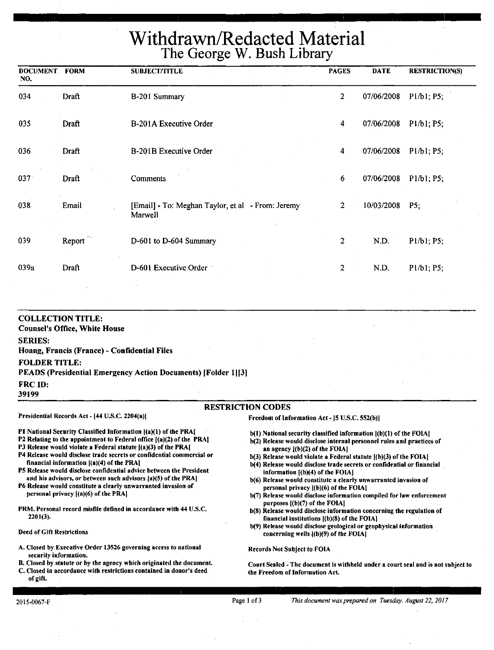# Withdrawn/Redacted Material The George W. Bush Library

| <b>DOCUMENT FORM</b><br>NO. |        | <b>SUBJECT/TITLE</b>                                         | <b>PAGES</b>            | <b>DATE</b> | <b>RESTRICTION(S)</b>                             |
|-----------------------------|--------|--------------------------------------------------------------|-------------------------|-------------|---------------------------------------------------|
| 034                         | Draft  | B-201 Summary                                                | $\overline{2}$          | 07/06/2008  | P1/b1; P5;                                        |
| 035                         | Draft  | <b>B-201A Executive Order</b>                                | $\overline{\mathbf{4}}$ | 07/06/2008  | P1/b1; P5;                                        |
| 036                         | Draft  | B-201B Executive Order                                       | $\overline{4}$          | 07/06/2008  | Pl/b1; P5;                                        |
| 037                         | Draft  | Comments                                                     | 6                       | 07/06/2008  | P1/b1; P5;                                        |
| 038                         | Email  | [Email] - To: Meghan Taylor, et al - From: Jeremy<br>Marwell | $\overline{2}$          | 10/03/2008  | $P5$ ;                                            |
| 039                         | Report | D-601 to D-604 Summary                                       | $\overline{2}$          | N.D.        | P <sub>1</sub> /b <sub>1</sub> ; P <sub>5</sub> ; |
| 039a                        | Draft  | D-601 Executive Order                                        | $\overline{2}$          | N.D.        | P1/b1; P5;                                        |
|                             |        |                                                              |                         |             |                                                   |

| <b>COLLECTION TITLE:</b>                                             |                                                                    |
|----------------------------------------------------------------------|--------------------------------------------------------------------|
| <b>Counsel's Office, White House</b>                                 |                                                                    |
| <b>SERIES:</b>                                                       |                                                                    |
| Hoang, Francis (France) - Confidential Files                         |                                                                    |
| <b>FOLDER TITLE:</b>                                                 |                                                                    |
| <b>PEADS (Presidential Emergency Action Documents) [Folder 1][3]</b> |                                                                    |
| <b>FRC ID:</b>                                                       |                                                                    |
| 39199                                                                |                                                                    |
|                                                                      | <b>RESTRICTION CODES</b>                                           |
| Presidential Records Act - [44 U.S.C. 2204(a)]                       | Freedom of Information Act - [5 U.S.C. 552(b)]                     |
| P1 National Security Classified Information [(a)(1) of the PRA]      | b(1) National security classified information [(b)(1) of the FOIA1 |

- P2 Relating to the appointment to Federal office  $[(a)(2)$  of the PRA]
- P3 Release would violate a Federal statute  $[(a)(3)$  of the PRAJ
- P4 Release would disclose trade secrets or confidential commercial or
- financial information ((a)(4) of the PRA) PS Release would disclose confidential advice between the President
- and his advisors, or between such advisors [a)(S) of the PRA]

P6 Release would constitute a clearly unwarranted invasion of personal privacy [(a)(6) of the PRA)

PRM. Personal record misfile defined in accordance with 44 U.S.C. 2201(3).

#### Deed of Gift Restrictions

- A. Closed by Executive Order 13526 governing access to national security information.
- B. Closed by statute or by the agency which originated the document. C. Closed in accordance with restrictions contained in donor's deed
- of gift.

#### b(l) National security classified information ((b)(l) of the FOIA)

- b(2) Release would disclose internal personnel rules and practices of an agency l(b)(2) of the FOIA)
- $b(3)$  Release would violate a Federal statute  $(6)(3)$  of the FOIA)
- b(4) Release would disclose trade secrets or confidential or financial information  $[(b)(4)$  of the FOIA]
- b(6) Release would constitute a clearly unwarranted invasion of personal privacy ((b)(6) of the FOIA)
- b(7) Release would disclose information compiled for law enforcement purposes  $[(b)(7)$  of the FOIA]
- b(S) Release would disclose information concerning the regulation of financial institutions  $|(b)(8)$  of the FOIA]
- b(9) Release would disclose geological or geophysical information concerning wells l(b)(9) of the FOIAJ

Records Not Subject to FOIA

Court Sealed -The document is withheld under a court seal and is not subject to the Freedom of Information Act.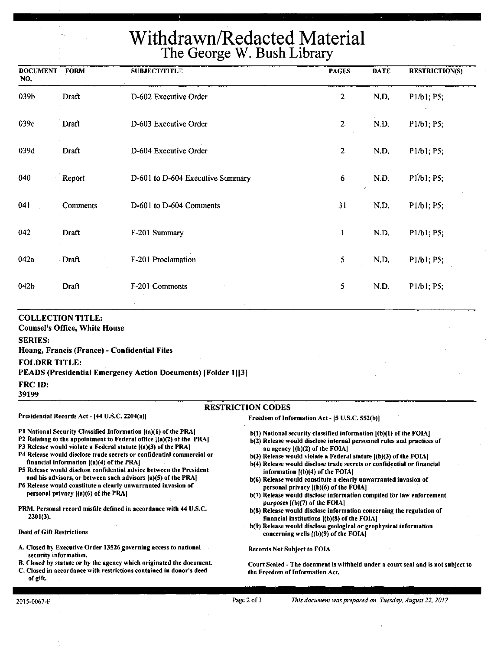# Withdrawn/Redacted Material The George W. Bush Library

| <b>DOCUMENT</b><br>NO. | <b>FORM</b> | <b>SUBJECT/TITLE</b>             | <b>PAGES</b>   | <b>DATE</b> | <b>RESTRICTION(S)</b> |
|------------------------|-------------|----------------------------------|----------------|-------------|-----------------------|
| 039b                   | Draft       | D-602 Executive Order            | $\overline{2}$ | N.D.        | P1/b1; P5;            |
| 039c                   | Draft       | D-603 Executive Order            | $\mathbf{2}$   | N.D.        | P1/b1; P5;            |
| 039d                   | Draft       | D-604 Executive Order            | $\overline{2}$ | N.D.        | P1/b1; P5;            |
| 040                    | Report      | D-601 to D-604 Executive Summary | 6              | N.D.        | P1/b1; P5;            |
| 041                    | Comments    | D-601 to D-604 Comments          | 31             | N.D.        | P1/b1; P5;            |
| 042                    | Draft       | F-201 Summary                    | $\mathbf{1}$   | N.D.        | P1/b1; P5;            |
| 042a                   | Draft       | F-201 Proclamation               | 5              | N.D.        | P1/b1; P5;            |
| 042b                   | Draft       | F-201 Comments                   | 5              | N.D.        | P1/b1; P5;            |

#### **COLLECTION TITLE:**  Counsel's **Office, White House SERIES: Hoang, Francis (France)** - **Confidential Files FOLDER TITLE: PEADS (Presidential Emergency Action Documents) [Folder 1][3] FRCID: 39199**  RESTRICTION CODES

#### Presidential Records Act- [44 U.S.C. 2204(a))

financial information ((a)(4) of the PRAJ

personal privacy ((a)(6) of the PRAJ

Pl National Security Classified Information [(a)(l) of the PRA] P2 Relating to the appointment to Federal office  $[(a)(2)$  of the PRA] P3 Release would violate a Federal statute [(a)(3) of the PRA] P4 Release would disclose trade secrets or confidential commercial or

PS Release would disclose confidential advice between the President and his advisors, or between such advisors [a)(S) of the PRAJ P6 Release would constitute-a clearly unwarranted invasion of

PRM. Personal record misfile defined in accordance with 44 U.S.C.

A. Closed by Executive Order 13526 governing access to national

B. Closed by statute or by the agency which originated the document. C. Closed in accordance with restrictions contained in donor's deed

#### Freedom of Information Act - [5 U.S.C. 552(b)]

b(l) National security classified information [(b)(l) of the FOIA]

- b(2) Release would disclose internal personnel rules and practices of an agency  $[(b)(2)$  of the FOIA $]$
- b(3) Release would violate a Federal statute ((b)(3) of the FOIA)
- b(4) Release would disclose trade secrets or confidential or financial information  $[(b)(4)$  of the FOIA]
- b(6) Release would constitute a clearly unwarranted invasion of personal privacy ((b)(6) of the FOIA]
- b(7) Release would disclose information compiled for law enforcement purposes ((b)(7) of the **FOIA]**
- b(S) Release would disclose information concerning the regulation of financial institutions f(b)(S) of the FOIA]
- b(9) Release would disclose geological or geophysical information concerning wells ((b)(9) of the FOIAJ

Records Not Subject to FOIA

Court Sealed - The document is withheld under a court seal and is not subject to the Freedom of Information Act.

of gift.

2201(3).

Deed of Gift Restrictions

security information.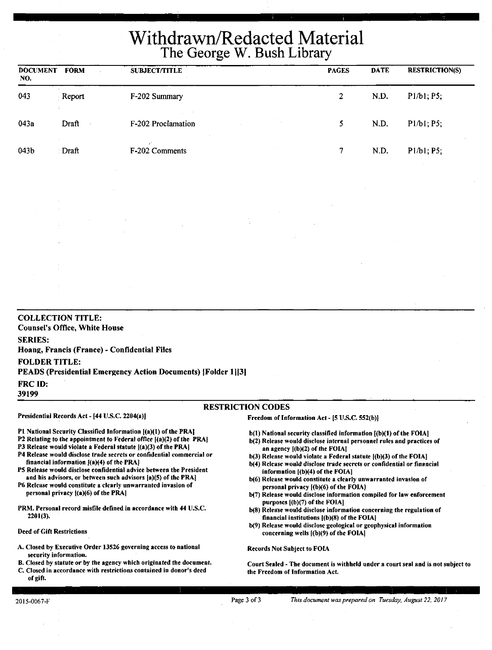# Withdrawn/Redacted Material The **George W. Bush** Library

| <b>DOCUMENT</b><br>NO. | <b>FORM</b>               | <b>SUBJECT/TITLE</b> | <b>PAGES</b>   | <b>DATE</b> | <b>RESTRICTION(S)</b> |
|------------------------|---------------------------|----------------------|----------------|-------------|-----------------------|
| 043                    | Report<br>$\mathcal{N}$ . | F-202 Summary        | $\overline{2}$ | N.D.        | P1/b1; P5;            |
| 043a                   | Draft                     | F-202 Proclamation   | 5              | N.D.        | P1/b1; P5;            |
| 043b                   | Draft                     | F-202 Comments       | 7              | N.D.        | P1/b1; P5;            |
|                        |                           |                      |                |             |                       |

**COLLECTION TITLE: Counsel's Office, White House SERIES: Hoang, Francis (France)** - **Confidential Files FOLDER TITLE: PEADS (Presidential Emergency Action Documents) [Folder 11[3] FRCID: 39199** 

#### RESTRICTION CODES

#### Presidential Records Act- [44 U.S.C. 2204(a)J

#### Freedom of Information Act - [5 U.S.C. 552(b))

- Pl National Security Classified Information ((a)(l) of the PRAJ
- P2 Relating to the appointment to Federal office [(a)(2) of the PRAJ
- P3 Release would violate a Federal statute  $[(a)(3)$  of the PRA]
- P4 Release would disclose trade secrets or confidential commercial or financial information f(a)(4) of the PRAJ
- PS Release would disclose confidential advice between the President and his advisors, or between such advisors (a)(S) of the PRA)
- P6 Release would constitute a clearly unwarranted invasion of personal privacy l(a)(6) of the PRA)
- PRM. Personal record misfile defined in accordance with 44 U.S.C. 2201(3).

#### Deed of Gift Restrictions

- A. Closed by Executive Order 13526 governing access to national security information.
- B. Closed by statute or by the agency which originated the document.
- C. Closed in accordance with restrictions contained in donor's deed of gift.

#### b(l) National security classified information [(b)(l) of the FOIA)

- b(2) Release would disclose internal personnel rules and practices of an agency [(b)(2) of the FOIAI
- b(3) Release would violate a Federal statute [(b)(3) of the FOIA]
- b(4) Release would disclose trade secrets or confidential or financial information [(b)(4) of the FOIA]
- b(6) Release would constitute a clearly unwarranted invasion of personal privacy [(b)(6) of the FOIA]
- b(7) Release would disclose information compiled for law enforcement purposes [(b)(7) of the FOIAI
- b(8) Release would disclose information concerning the regulation of financial institutions ((b)(8) of the FOIA)
- b(9) Release would disclose geological or geophysical information concerning wells ((b)(9) of the FOIA)

Records Not Subject to FOIA

Court Sealed -The document is withheld under a court seal and is not subject to the Freedom of Information Act.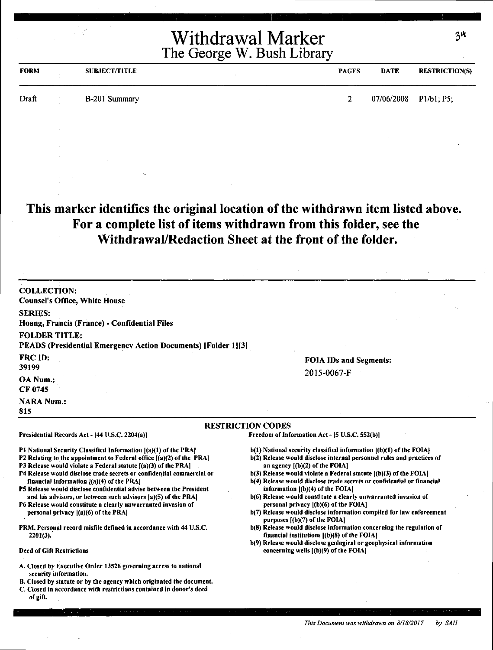سي

| <b>FORM</b> | <b>SUBJECT/TITLE</b> | <b>PAGES</b> | DATE                                                           | <b>RESTRICTION(S)</b> |
|-------------|----------------------|--------------|----------------------------------------------------------------|-----------------------|
| Draft       | B-201 Summary        |              | $07/06/2008$ P <sub>1</sub> /b <sub>1</sub> ; P <sub>5</sub> ; |                       |

#### **This marker identifies the original location of the withdrawn item listed above. For a complete list of items withdrawn from this folder, see the Withdrawal/Redaction Sheet at the front of the folder.**

| <b>COLLECTION:</b><br><b>Counsel's Office, White House</b>                                                                                                                                                                                                                                                                                                                                                                                                                                                                                                                                                                                                           |                                                                                                                                                                                                                                                                                                                                                                                                                                                                                                                                                                                                                                                                                                                                                                                            |
|----------------------------------------------------------------------------------------------------------------------------------------------------------------------------------------------------------------------------------------------------------------------------------------------------------------------------------------------------------------------------------------------------------------------------------------------------------------------------------------------------------------------------------------------------------------------------------------------------------------------------------------------------------------------|--------------------------------------------------------------------------------------------------------------------------------------------------------------------------------------------------------------------------------------------------------------------------------------------------------------------------------------------------------------------------------------------------------------------------------------------------------------------------------------------------------------------------------------------------------------------------------------------------------------------------------------------------------------------------------------------------------------------------------------------------------------------------------------------|
| <b>SERIES:</b>                                                                                                                                                                                                                                                                                                                                                                                                                                                                                                                                                                                                                                                       |                                                                                                                                                                                                                                                                                                                                                                                                                                                                                                                                                                                                                                                                                                                                                                                            |
| Hoang, Francis (France) - Confidential Files                                                                                                                                                                                                                                                                                                                                                                                                                                                                                                                                                                                                                         |                                                                                                                                                                                                                                                                                                                                                                                                                                                                                                                                                                                                                                                                                                                                                                                            |
| <b>FOLDER TITLE:</b><br><b>PEADS (Presidential Emergency Action Documents) [Folder 1][3]</b>                                                                                                                                                                                                                                                                                                                                                                                                                                                                                                                                                                         |                                                                                                                                                                                                                                                                                                                                                                                                                                                                                                                                                                                                                                                                                                                                                                                            |
| FRC ID:<br>39199                                                                                                                                                                                                                                                                                                                                                                                                                                                                                                                                                                                                                                                     | <b>FOIA IDs and Segments:</b>                                                                                                                                                                                                                                                                                                                                                                                                                                                                                                                                                                                                                                                                                                                                                              |
| OA Num.:<br>CF 0745                                                                                                                                                                                                                                                                                                                                                                                                                                                                                                                                                                                                                                                  | 2015-0067-F                                                                                                                                                                                                                                                                                                                                                                                                                                                                                                                                                                                                                                                                                                                                                                                |
| <b>NARA Num.:</b><br>815                                                                                                                                                                                                                                                                                                                                                                                                                                                                                                                                                                                                                                             |                                                                                                                                                                                                                                                                                                                                                                                                                                                                                                                                                                                                                                                                                                                                                                                            |
|                                                                                                                                                                                                                                                                                                                                                                                                                                                                                                                                                                                                                                                                      | <b>RESTRICTION CODES</b>                                                                                                                                                                                                                                                                                                                                                                                                                                                                                                                                                                                                                                                                                                                                                                   |
| Presidential Records Act - [44 U.S.C. 2204(a)]                                                                                                                                                                                                                                                                                                                                                                                                                                                                                                                                                                                                                       | Freedom of Information Act - [5 U.S.C. 552(b)]                                                                                                                                                                                                                                                                                                                                                                                                                                                                                                                                                                                                                                                                                                                                             |
| PI National Security Classified Information [(a)(1) of the PRA]<br>P2 Relating to the appointment to Federal office [(a)(2) of the PRA]<br>P3 Release would violate a Federal statute [(a)(3) of the PRA]<br>P4 Release would disclose trade secrets or confidential commercial or<br>financial information [(a)(4) of the PRA]<br>P5 Release would disclose confidential advise between the President<br>and his advisors, or between such advisors (a)(5) of the PRA]<br>P6 Release would constitute a clearly unwarranted invasion of<br>personal privacy [(a)(6) of the PRA]<br>PRM. Personal record misfile defined in accordance with 44 U.S.C.<br>$2201(3)$ . | b(1) National security classified information [(b)(1) of the FOIA]<br>b(2) Release would disclose internal personnel rules and practices of<br>an agency $[(b)(2)$ of the FOIA]<br>b(3) Release would violate a Federal statute [(b)(3) of the FOIA]<br>b(4) Release would disclose trade secrets or confidential or financial<br>information $  (b)(4)$ of the FOIA]<br>b(6) Release would constitute a clearly unwarranted invasion of<br>personal privacy [(b)(6) of the FOIA]<br>b(7) Release would disclose information compiled for law enforcement<br>purposes $[(b)(7)$ of the FOIA]<br>b(8) Release would disclose information concerning the regulation of<br>financial institutions $[(b)(8)$ of the FOIA?<br>b(9) Release would disclose geological or geophysical information |
| <b>Deed of Gift Restrictions</b>                                                                                                                                                                                                                                                                                                                                                                                                                                                                                                                                                                                                                                     | concerning wells [(b)(9) of the FOIA]                                                                                                                                                                                                                                                                                                                                                                                                                                                                                                                                                                                                                                                                                                                                                      |
| A. Closed by Executive Order 13526 governing access to national<br>security information.<br>B. Closed by statute or by the agency which originated the document.<br>C. Closed in accordance with restrictions contained in donor's deed<br>of gift.                                                                                                                                                                                                                                                                                                                                                                                                                  |                                                                                                                                                                                                                                                                                                                                                                                                                                                                                                                                                                                                                                                                                                                                                                                            |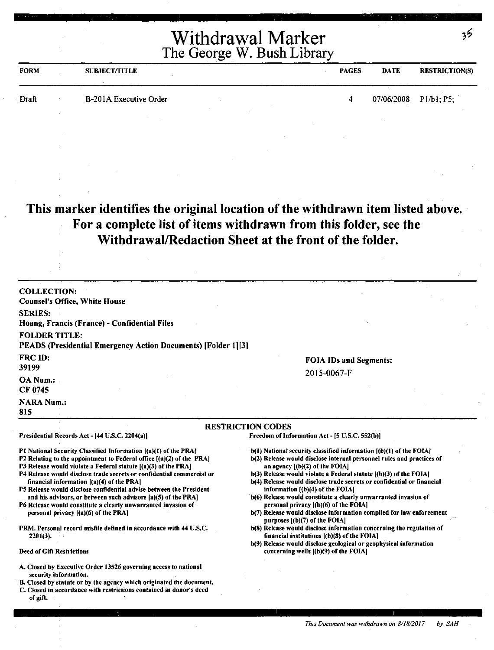|       | <b>Withdrawal Marker</b><br>The George W. Bush Library | 25           |                         |                       |
|-------|--------------------------------------------------------|--------------|-------------------------|-----------------------|
| FORM  | <b>SUBJECT/TITLE</b>                                   | <b>PAGES</b> | DATE                    | <b>RESTRICTION(S)</b> |
| Draft | B-201A Executive Order                                 |              | $07/06/2008$ P1/b1; P5; |                       |

#### **This marker identifies the original location of the withdrawn item listed above. For a complete list of items withdrawn from this folder, see the Withdrawal/Redaction Sheet at the front of the folder.**

| <b>COLLECTION:</b><br><b>Counsel's Office, White House</b>                                                                                                                                                                                                                                                                                                                                                                                                                                                                                                                                                                                                                                                 |                                                                                                                                                                                                                                                                                                                                                                                                                                                                                                                                                                                                                                                                                                                                                                                                                                      |
|------------------------------------------------------------------------------------------------------------------------------------------------------------------------------------------------------------------------------------------------------------------------------------------------------------------------------------------------------------------------------------------------------------------------------------------------------------------------------------------------------------------------------------------------------------------------------------------------------------------------------------------------------------------------------------------------------------|--------------------------------------------------------------------------------------------------------------------------------------------------------------------------------------------------------------------------------------------------------------------------------------------------------------------------------------------------------------------------------------------------------------------------------------------------------------------------------------------------------------------------------------------------------------------------------------------------------------------------------------------------------------------------------------------------------------------------------------------------------------------------------------------------------------------------------------|
| <b>SERIES:</b>                                                                                                                                                                                                                                                                                                                                                                                                                                                                                                                                                                                                                                                                                             |                                                                                                                                                                                                                                                                                                                                                                                                                                                                                                                                                                                                                                                                                                                                                                                                                                      |
| Hoang, Francis (France) - Confidential Files                                                                                                                                                                                                                                                                                                                                                                                                                                                                                                                                                                                                                                                               |                                                                                                                                                                                                                                                                                                                                                                                                                                                                                                                                                                                                                                                                                                                                                                                                                                      |
| <b>FOLDER TITLE:</b><br>PEADS (Presidential Emergency Action Documents) [Folder 1][3]                                                                                                                                                                                                                                                                                                                                                                                                                                                                                                                                                                                                                      |                                                                                                                                                                                                                                                                                                                                                                                                                                                                                                                                                                                                                                                                                                                                                                                                                                      |
| FRC ID:                                                                                                                                                                                                                                                                                                                                                                                                                                                                                                                                                                                                                                                                                                    |                                                                                                                                                                                                                                                                                                                                                                                                                                                                                                                                                                                                                                                                                                                                                                                                                                      |
| 39199                                                                                                                                                                                                                                                                                                                                                                                                                                                                                                                                                                                                                                                                                                      | <b>FOIA IDs and Segments:</b>                                                                                                                                                                                                                                                                                                                                                                                                                                                                                                                                                                                                                                                                                                                                                                                                        |
| OA Num.:                                                                                                                                                                                                                                                                                                                                                                                                                                                                                                                                                                                                                                                                                                   | 2015-0067-F                                                                                                                                                                                                                                                                                                                                                                                                                                                                                                                                                                                                                                                                                                                                                                                                                          |
| CF 0745                                                                                                                                                                                                                                                                                                                                                                                                                                                                                                                                                                                                                                                                                                    |                                                                                                                                                                                                                                                                                                                                                                                                                                                                                                                                                                                                                                                                                                                                                                                                                                      |
| <b>NARA Num.:</b><br>815                                                                                                                                                                                                                                                                                                                                                                                                                                                                                                                                                                                                                                                                                   |                                                                                                                                                                                                                                                                                                                                                                                                                                                                                                                                                                                                                                                                                                                                                                                                                                      |
|                                                                                                                                                                                                                                                                                                                                                                                                                                                                                                                                                                                                                                                                                                            | <b>RESTRICTION CODES</b>                                                                                                                                                                                                                                                                                                                                                                                                                                                                                                                                                                                                                                                                                                                                                                                                             |
| Presidential Records Act - [44 U.S.C. 2204(a)]                                                                                                                                                                                                                                                                                                                                                                                                                                                                                                                                                                                                                                                             | Freedom of Information Act - [5 U.S.C. 552(b)]                                                                                                                                                                                                                                                                                                                                                                                                                                                                                                                                                                                                                                                                                                                                                                                       |
| P1 National Security Classified Information [(a)(1) of the PRA]<br>P2 Relating to the appointment to Federal office [(a)(2) of the PRA]<br>P3 Release would violate a Federal statute ((a)(3) of the PRA]<br>P4 Release would disclose trade secrets or confidential commercial or<br>financial information [(a)(4) of the PRA]<br>P5 Release would disclose confidential advise between the President<br>and his advisors, or between such advisors [a](5) of the PRA]<br>P6 Release would constitute a clearly unwarranted invasion of<br>personal privacy $[(a)(6)$ of the PRA]<br>PRM, Personal record misfile defined in accordance with 44 U.S.C.<br>$2201(3)$ .<br><b>Deed of Gift Restrictions</b> | $b(1)$ National security classified information $[(b)(1)$ of the FOIA]<br>b(2) Release would disclose internal personnel rules and practices of<br>an agency $[(b)(2)$ of the FOIA]<br>b(3) Release would violate a Federal statute ((b)(3) of the FOIA]<br>b(4) Release would disclose trade secrets or confidential or financial<br>information [(b)(4) of the FOIA]<br>b(6) Release would constitute a clearly unwarranted invasion of<br>personal privacy ((b)(6) of the FOIA]<br>b(7) Release would disclose information compiled for law enforcement<br>purposes ((b)(7) of the FOIA]<br>b(8) Release would disclose information concerning the regulation of<br>financial institutions $[(b)(8)$ of the FOIA]<br>b(9) Release would disclose geological or geophysical information<br>concerning wells $[(b)(9)$ of the FOIA] |
| A. Closed by Executive Order 13526 governing access to national                                                                                                                                                                                                                                                                                                                                                                                                                                                                                                                                                                                                                                            |                                                                                                                                                                                                                                                                                                                                                                                                                                                                                                                                                                                                                                                                                                                                                                                                                                      |
| security information.                                                                                                                                                                                                                                                                                                                                                                                                                                                                                                                                                                                                                                                                                      |                                                                                                                                                                                                                                                                                                                                                                                                                                                                                                                                                                                                                                                                                                                                                                                                                                      |
| B. Closed by statute or by the agency which originated the document.<br>C. Closed in accordance with restrictions contained in donor's deed                                                                                                                                                                                                                                                                                                                                                                                                                                                                                                                                                                |                                                                                                                                                                                                                                                                                                                                                                                                                                                                                                                                                                                                                                                                                                                                                                                                                                      |

of gift.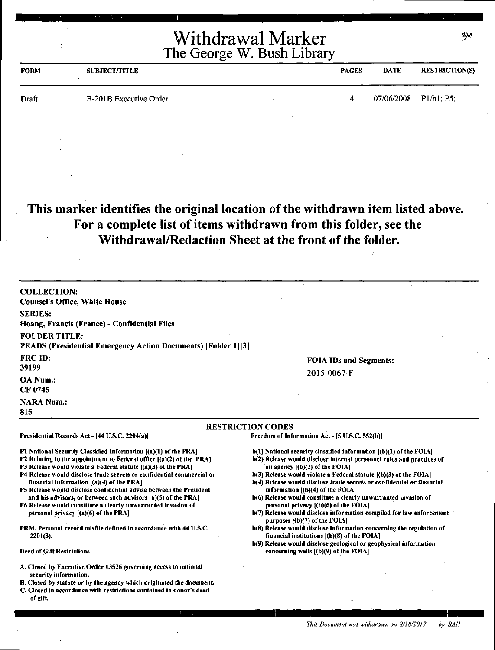| <b>FORM</b> | <b>SUBJECT/TITLE</b>   | <b>PAGES</b> | <b>DATE</b>             | <b>RESTRICTION(S)</b> |
|-------------|------------------------|--------------|-------------------------|-----------------------|
| Draft       | B-201B Executive Order |              | $07/06/2008$ P1/b1; P5; |                       |
|             |                        |              |                         |                       |

#### **This marker identifies the original location of the withdrawn item listed above. For a complete list of items withdrawn from this folder, see the Withdrawal/Redaction Sheet at the front of the folder.**

| <b>COLLECTION:</b>                                                                                                                           |                                                                                                                             |
|----------------------------------------------------------------------------------------------------------------------------------------------|-----------------------------------------------------------------------------------------------------------------------------|
| <b>Counsel's Office, White House</b>                                                                                                         |                                                                                                                             |
| <b>SERIES:</b>                                                                                                                               |                                                                                                                             |
| Hoang, Francis (France) - Confidential Files                                                                                                 |                                                                                                                             |
| <b>FOLDER TITLE:</b>                                                                                                                         |                                                                                                                             |
| <b>PEADS (Presidential Emergency Action Documents) [Folder 1][3]</b>                                                                         |                                                                                                                             |
| FRC ID:                                                                                                                                      | <b>FOIA IDs and Segments:</b>                                                                                               |
| 39199                                                                                                                                        | 2015-0067-F                                                                                                                 |
| <b>OA Num.:</b>                                                                                                                              |                                                                                                                             |
| CF 0745                                                                                                                                      |                                                                                                                             |
| <b>NARA Num.:</b>                                                                                                                            |                                                                                                                             |
| 815                                                                                                                                          |                                                                                                                             |
|                                                                                                                                              | <b>RESTRICTION CODES</b>                                                                                                    |
| Presidential Records Act - [44 U.S.C. 2204(a)]                                                                                               | Freedom of Information Act - [5 U.S.C. 552(b)]                                                                              |
| P1 National Security Classified Information [(a)(1) of the PRA]                                                                              | b(1) National security classified information [(b)(1) of the FOIA]                                                          |
| P2 Relating to the appointment to Federal office $[(a)(2)$ of the PRA]                                                                       | b(2) Release would disclose internal personnel rules and practices of                                                       |
| P3 Release would violate a Federal statute $[(a)(3)$ of the PRA $]$<br>P4 Release would disclose trade secrets or confidential commercial or | an agency $($ (b) $(2)$ of the FOIA]<br>b(3) Release would violate a Federal statute [(b)(3) of the FOIA]                   |
| financial information [(a)(4) of the PRA]<br>P5 Release would disclose confidential advise between the President                             | b(4) Release would disclose trade secrets or confidential or financial<br>information $[(b)(4)$ of the FOIA]                |
| and his advisors, or between such advisors [a)(5) of the PRA]                                                                                | b(6) Release would constitute a clearly unwarranted invasion of                                                             |
| P6 Release would constitute a clearly unwarranted invasion of                                                                                | personal privacy {(b)(6) of the FOIA]                                                                                       |
| personal privacy $[(a)(6)$ of the PRA]                                                                                                       | b(7) Release would disclose information compiled for law enforcement<br>purposes $($ (b) $(7)$ of the FOIA $]$              |
| PRM. Personal record misfile defined in accordance with 44 U.S.C.<br>$2201(3)$ .                                                             | b(8) Release would disclose information concerning the regulation of<br>financial institutions $($ b $)(8)$ of the FOIA $]$ |
|                                                                                                                                              | b(9) Release would disclose geological or geophysical information                                                           |
| <b>Deed of Gift Restrictions</b>                                                                                                             | concerning wells $[(b)(9)$ of the FOIA]                                                                                     |
| A. Closed by Executive Order 13526 governing access to national<br>security information.                                                     |                                                                                                                             |
| B. Closed by statute or by the agency which originated the document.                                                                         |                                                                                                                             |
| C. Closed in accordance with restrictions contained in donor's deed                                                                          |                                                                                                                             |

of gift.

 $3\sqrt{2}$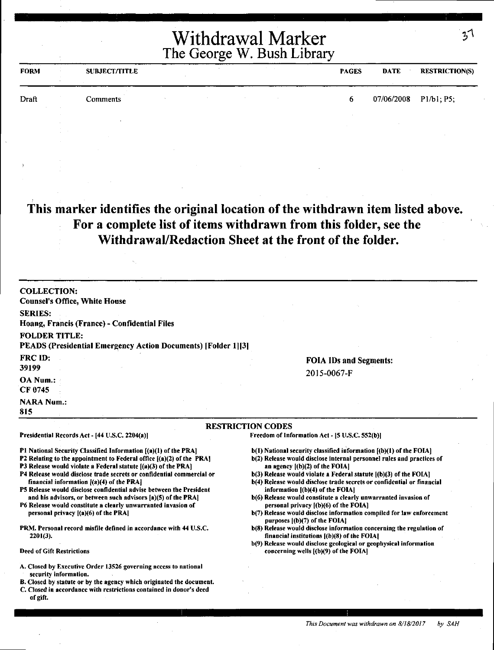| <b>FORM</b> | <b>SUBJECT/TITLE</b> |  | <b>College</b> | <b>PAGES</b> | <b>DATE</b> | <b>RESTRICTION(S)</b> |
|-------------|----------------------|--|----------------|--------------|-------------|-----------------------|
| Draft       | Comments             |  |                | o            | 07/06/2008  | P1/b1, P5;            |
|             |                      |  |                |              |             |                       |
|             |                      |  |                |              |             |                       |

**This marker identifies the original location of the withdrawn item listed above. For a complete list of items withdrawn from this folder, see the WithdrawaVRedaction Sheet at the front of the folder.** 

| <b>COLLECTION:</b><br><b>Counsel's Office, White House</b>                                                                                                                                                                                                                                                                                                                                                                                                                                                                                                                                                                                                                                                  |                                                                                                                                                                                                                                                                                                                                                                                                                                                                                                                                                                                                                                                                                                                                                                                                                                    |
|-------------------------------------------------------------------------------------------------------------------------------------------------------------------------------------------------------------------------------------------------------------------------------------------------------------------------------------------------------------------------------------------------------------------------------------------------------------------------------------------------------------------------------------------------------------------------------------------------------------------------------------------------------------------------------------------------------------|------------------------------------------------------------------------------------------------------------------------------------------------------------------------------------------------------------------------------------------------------------------------------------------------------------------------------------------------------------------------------------------------------------------------------------------------------------------------------------------------------------------------------------------------------------------------------------------------------------------------------------------------------------------------------------------------------------------------------------------------------------------------------------------------------------------------------------|
| <b>SERIES:</b><br>Hoang, Francis (France) - Confidential Files                                                                                                                                                                                                                                                                                                                                                                                                                                                                                                                                                                                                                                              |                                                                                                                                                                                                                                                                                                                                                                                                                                                                                                                                                                                                                                                                                                                                                                                                                                    |
| <b>FOLDER TITLE:</b><br>PEADS (Presidential Emergency Action Documents) [Folder 1][3]                                                                                                                                                                                                                                                                                                                                                                                                                                                                                                                                                                                                                       |                                                                                                                                                                                                                                                                                                                                                                                                                                                                                                                                                                                                                                                                                                                                                                                                                                    |
| FRC ID:<br>39199                                                                                                                                                                                                                                                                                                                                                                                                                                                                                                                                                                                                                                                                                            | <b>FOIA IDs and Segments:</b>                                                                                                                                                                                                                                                                                                                                                                                                                                                                                                                                                                                                                                                                                                                                                                                                      |
| OA Num.:<br>CF 0745                                                                                                                                                                                                                                                                                                                                                                                                                                                                                                                                                                                                                                                                                         | 2015-0067-F                                                                                                                                                                                                                                                                                                                                                                                                                                                                                                                                                                                                                                                                                                                                                                                                                        |
| <b>NARA Num.:</b><br>815                                                                                                                                                                                                                                                                                                                                                                                                                                                                                                                                                                                                                                                                                    |                                                                                                                                                                                                                                                                                                                                                                                                                                                                                                                                                                                                                                                                                                                                                                                                                                    |
|                                                                                                                                                                                                                                                                                                                                                                                                                                                                                                                                                                                                                                                                                                             | <b>RESTRICTION CODES</b>                                                                                                                                                                                                                                                                                                                                                                                                                                                                                                                                                                                                                                                                                                                                                                                                           |
| Presidential Records Act - [44 U.S.C. 2204(a)]                                                                                                                                                                                                                                                                                                                                                                                                                                                                                                                                                                                                                                                              | Freedom of Information Act - [5 U.S.C. 552(b)]                                                                                                                                                                                                                                                                                                                                                                                                                                                                                                                                                                                                                                                                                                                                                                                     |
| P1 National Security Classified Information [(a)(1) of the PRA]<br>P2 Relating to the appointment to Federal office [(a)(2) of the PRA]<br>P3 Release would violate a Federal statute [(a)(3) of the PRA]<br>P4 Release would disclose trade secrets or confidential commercial or<br>financial information $\{(a)(4)$ of the PRA]<br>P5 Release would disclose confidential advise between the President<br>and his advisors, or between such advisors [a](5) of the PRA]<br>P6 Release would constitute a clearly unwarranted invasion of<br>personal privacy [(a)(6) of the PRA]<br>PRM. Personal record misfile defined in accordance with 44 U.S.C.<br>$2201(3)$ .<br><b>Deed of Gift Restrictions</b> | $b(1)$ National security classified information $[(b)(1)$ of the FOIA]<br>b(2) Release would disclose internal personnel rules and practices of<br>an agency $[(b)(2)$ of the FOIA]<br>b(3) Release would violate a Federal statute [(b)(3) of the FOIA]<br>b(4) Release would disclose trade secrets or confidential or financial<br>information [(b)(4) of the FOIA]<br>b(6) Release would constitute a clearly unwarranted invasion of<br>personal privacy [(b)(6) of the FOIA]<br>b(7) Release would disclose information compiled for law enforcement<br>purposes [(b)(7) of the FOIA]<br>b(8) Release would disclose information concerning the regulation of<br>financial institutions $(1b)(8)$ of the FOIA]<br>b(9) Release would disclose geological or geophysical information<br>concerning wells [(b)(9) of the FOIA] |
|                                                                                                                                                                                                                                                                                                                                                                                                                                                                                                                                                                                                                                                                                                             |                                                                                                                                                                                                                                                                                                                                                                                                                                                                                                                                                                                                                                                                                                                                                                                                                                    |
| A. Closed by Executive Order 13526 governing access to national<br>security information.                                                                                                                                                                                                                                                                                                                                                                                                                                                                                                                                                                                                                    |                                                                                                                                                                                                                                                                                                                                                                                                                                                                                                                                                                                                                                                                                                                                                                                                                                    |
| B. Closed by statute or by the agency which originated the document.<br>C. Closed in accordance with restrictions contained in donor's deed                                                                                                                                                                                                                                                                                                                                                                                                                                                                                                                                                                 |                                                                                                                                                                                                                                                                                                                                                                                                                                                                                                                                                                                                                                                                                                                                                                                                                                    |

of gift.

 $2<sup>1</sup>$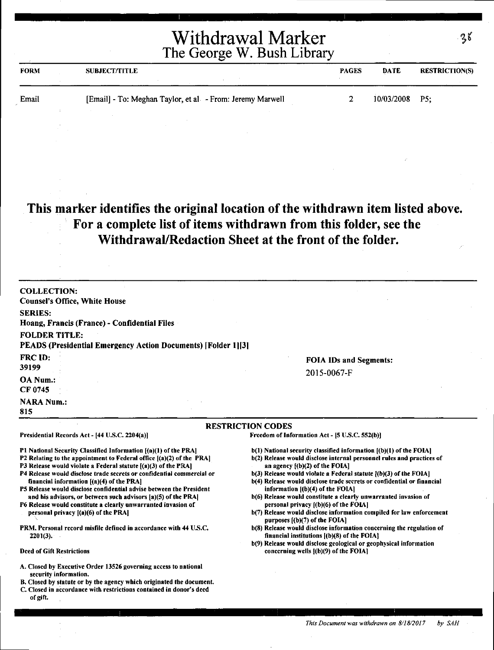|             | <b>Withdrawal Marker</b><br>The George W. Bush Library    |              |            |                       |  |
|-------------|-----------------------------------------------------------|--------------|------------|-----------------------|--|
| <b>FORM</b> | <b>SUBJECT/TITLE</b>                                      | <b>PAGES</b> | DATE       | <b>RESTRICTION(S)</b> |  |
| Email       | [Email] - To: Meghan Taylor, et al - From: Jeremy Marwell |              | 10/03/2008 | <b>P5:</b>            |  |

#### **This marker identifies the original location of the withdrawn item listed above. For a complete list of items withdrawn from this folder, see the**   $\mathbb{R}^3$ **Withdrawal/Redaction Sheet at the front of the folder.**

| <b>COLLECTION:</b><br><b>Counsel's Office, White House</b>                                                                             |                                                                                                                       |
|----------------------------------------------------------------------------------------------------------------------------------------|-----------------------------------------------------------------------------------------------------------------------|
| <b>SERIES:</b>                                                                                                                         |                                                                                                                       |
| Hoang, Francis (France) - Confidential Files                                                                                           |                                                                                                                       |
|                                                                                                                                        |                                                                                                                       |
| <b>FOLDER TITLE:</b>                                                                                                                   |                                                                                                                       |
| PEADS (Presidential Emergency Action Documents) [Folder 1][3]                                                                          |                                                                                                                       |
| <b>FRC ID:</b>                                                                                                                         | <b>FOIA IDs and Segments:</b>                                                                                         |
| 39199                                                                                                                                  | 2015-0067-F                                                                                                           |
| OA Num.:                                                                                                                               |                                                                                                                       |
| CF 0745                                                                                                                                |                                                                                                                       |
| <b>NARA Num.:</b>                                                                                                                      |                                                                                                                       |
| 815                                                                                                                                    |                                                                                                                       |
| $\sim$                                                                                                                                 | <b>RESTRICTION CODES</b>                                                                                              |
| Presidential Records Act - [44 U.S.C. 2204(a)]                                                                                         | Freedom of Information Act - [5 U.S.C. 552(b)]                                                                        |
|                                                                                                                                        |                                                                                                                       |
| P1 National Security Classified Information [(a)(1) of the PRA]                                                                        | $b(1)$ National security classified information $[(b)(1)$ of the FOIA]                                                |
| P2 Relating to the appointment to Federal office [(a)(2) of the PRA]<br>P3 Release would violate a Federal statute ((a)(3) of the PRA] | b(2) Release would disclose internal personnel rules and practices of<br>an agency $\{(b)(2)$ of the FOIA]            |
| P4 Release would disclose trade secrets or confidential commercial or                                                                  | $b(3)$ Release would violate a Federal statute $(1b)(3)$ of the FOIA]                                                 |
| financial information $[(a)(4)$ of the PRA]                                                                                            | b(4) Release would disclose trade secrets or confidential or financial                                                |
| P5 Release would disclose confidential advise between the President                                                                    | information $[(b)(4)$ of the FOIA]                                                                                    |
| and his advisors, or between such advisors [a](5) of the PRA]<br>P6 Release would constitute a clearly unwarranted invasion of         | b(6) Release would constitute a clearly unwarranted invasion of<br>personal privacy ((b)(6) of the FOIA]              |
| personal privacy [(a)(6) of the PRA]                                                                                                   | b(7) Release would disclose information compiled for law enforcement                                                  |
|                                                                                                                                        | purposes $(6)(7)$ of the FOIA]                                                                                        |
| PRM. Personal record misfile defined in accordance with 44 U.S.C.                                                                      | b(8) Release would disclose information concerning the regulation of<br>financial institutions $[(b)(8)$ of the FOIA} |
| $2201(3)$ .                                                                                                                            | b(9) Release would disclose geological or geophysical information                                                     |
| <b>Deed of Gift Restrictions</b>                                                                                                       | concerning wells $(6)(9)$ of the FOIA]                                                                                |
| A. Closed by Executive Order 13526 governing access to national                                                                        |                                                                                                                       |
| security information.                                                                                                                  |                                                                                                                       |
| B. Closed by statute or by the agency which originated the document.                                                                   |                                                                                                                       |
| C. Closed in accordance with restrictions contained in donor's deed                                                                    |                                                                                                                       |

of gift.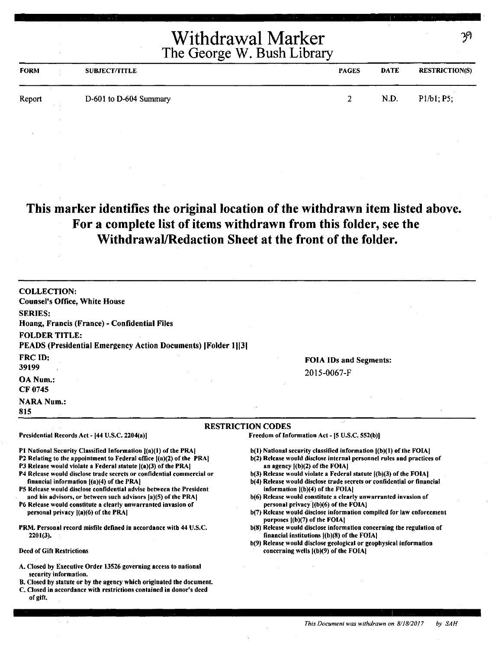| <b>FORM</b> | <b>SUBJECT/TITLE</b>   | <b>PAGES</b> | <b>DATE</b> | <b>RESTRICTION(S)</b> |
|-------------|------------------------|--------------|-------------|-----------------------|
| Report      | D-601 to D-604 Summary |              | N.D.        | $P1/b1: P5$ ;         |

## **This marker identifies the original location of the withdrawn item listed above. For a complete list of items withdrawn from this folder, see the Withdrawal/Redaction Sheet at the front of the folder.**

| <b>COLLECTION:</b><br><b>Counsel's Office, White House</b>                                                                                                                                                                                                                                                                                                                                                                                                                                                                                                                                                                                                                                                    |                                                                                                                                                                                                                                                                                                                                                                                                                                                                                                                                                                                                                                                                                                                                                                                                                                     |
|---------------------------------------------------------------------------------------------------------------------------------------------------------------------------------------------------------------------------------------------------------------------------------------------------------------------------------------------------------------------------------------------------------------------------------------------------------------------------------------------------------------------------------------------------------------------------------------------------------------------------------------------------------------------------------------------------------------|-------------------------------------------------------------------------------------------------------------------------------------------------------------------------------------------------------------------------------------------------------------------------------------------------------------------------------------------------------------------------------------------------------------------------------------------------------------------------------------------------------------------------------------------------------------------------------------------------------------------------------------------------------------------------------------------------------------------------------------------------------------------------------------------------------------------------------------|
| <b>SERIES:</b><br>Hoang, Francis (France) - Confidential Files                                                                                                                                                                                                                                                                                                                                                                                                                                                                                                                                                                                                                                                |                                                                                                                                                                                                                                                                                                                                                                                                                                                                                                                                                                                                                                                                                                                                                                                                                                     |
| <b>FOLDER TITLE:</b><br>PEADS (Presidential Emergency Action Documents) [Folder 1][3]                                                                                                                                                                                                                                                                                                                                                                                                                                                                                                                                                                                                                         |                                                                                                                                                                                                                                                                                                                                                                                                                                                                                                                                                                                                                                                                                                                                                                                                                                     |
| FRC ID:<br>39199                                                                                                                                                                                                                                                                                                                                                                                                                                                                                                                                                                                                                                                                                              | <b>FOIA IDs and Segments:</b>                                                                                                                                                                                                                                                                                                                                                                                                                                                                                                                                                                                                                                                                                                                                                                                                       |
| <b>OA Num.:</b><br>CF 0745                                                                                                                                                                                                                                                                                                                                                                                                                                                                                                                                                                                                                                                                                    | 2015-0067-F                                                                                                                                                                                                                                                                                                                                                                                                                                                                                                                                                                                                                                                                                                                                                                                                                         |
| <b>NARA Num.:</b><br>815                                                                                                                                                                                                                                                                                                                                                                                                                                                                                                                                                                                                                                                                                      |                                                                                                                                                                                                                                                                                                                                                                                                                                                                                                                                                                                                                                                                                                                                                                                                                                     |
|                                                                                                                                                                                                                                                                                                                                                                                                                                                                                                                                                                                                                                                                                                               | J.<br><b>RESTRICTION CODES</b>                                                                                                                                                                                                                                                                                                                                                                                                                                                                                                                                                                                                                                                                                                                                                                                                      |
| Presidential Records Act - [44 U.S.C. 2204(a)]                                                                                                                                                                                                                                                                                                                                                                                                                                                                                                                                                                                                                                                                | Freedom of Information Act - [5 U.S.C. 552(b)]                                                                                                                                                                                                                                                                                                                                                                                                                                                                                                                                                                                                                                                                                                                                                                                      |
| P1 National Security Classified Information [(a)(1) of the PRA]<br>P2 Relating to the appointment to Federal office $[(a)(2)$ of the PRA<br>P3 Release would violate a Federal statute [(a)(3) of the PRA]<br>P4 Release would disclose trade secrets or confidential commercial or<br>financial information $[(a)(4)$ of the PRA]<br>P5 Release would disclose confidential advise between the President<br>and his advisors, or between such advisors [a](5) of the PRA]<br>P6 Release would constitute a clearly unwarranted invasion of<br>personal privacy $[(a)(6)$ of the PRA]<br>PRM. Personal record misfile defined in accordance with 44 U.S.C.<br>$2201(3)$ .<br><b>Deed of Gift Restrictions</b> | b(1) National security classified information [(b)(1) of the FOIA]<br>b(2) Release would disclose internal personnel rules and practices of<br>an agency $[(b)(2)$ of the FOIA]<br>b(3) Release would violate a Federal statute [(b)(3) of the FOIA]<br>b(4) Release would disclose trade secrets or confidential or financial<br>information $[(b)(4)$ of the FOIA]<br>b(6) Release would constitute a clearly unwarranted invasion of<br>personal privacy [(b)(6) of the FOIA]<br>b(7) Release would disclose information compiled for law enforcement<br>purposes $(a)$ (b)(7) of the FOIA]<br>b(8) Release would disclose information concerning the regulation of<br>financial institutions [(b)(8) of the FOIA]<br>b(9) Release would disclose geological or geophysical information<br>concerning wells [(b)(9) of the FOIA] |
| A. Closed by Executive Order 13526 governing access to national<br>security information.<br>B. Closed by statute or by the agency which originated the document.<br>C. Closed in accordance with restrictions contained in donor's deed<br>of gift.                                                                                                                                                                                                                                                                                                                                                                                                                                                           |                                                                                                                                                                                                                                                                                                                                                                                                                                                                                                                                                                                                                                                                                                                                                                                                                                     |

V)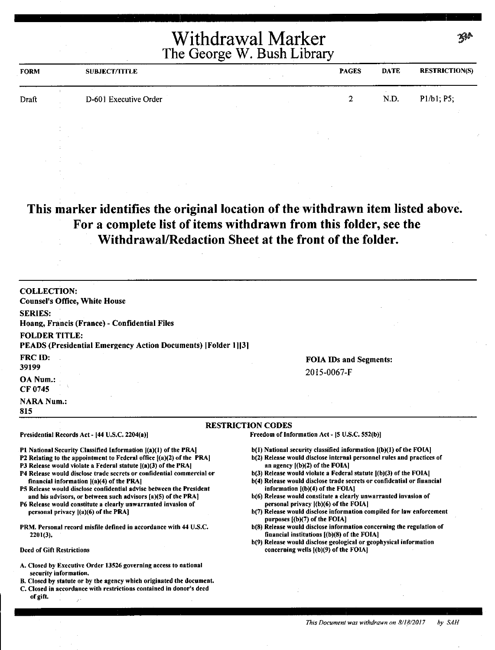| <b>FORM</b> | <b>SUBJECT/TITLE</b>  | <b>PAGES</b> | <b>DATE</b> | <b>RESTRICTION(S)</b> |
|-------------|-----------------------|--------------|-------------|-----------------------|
| Draft       | D-601 Executive Order | - 20<br>-    | N.D.        | P1/b1; P5;            |

#### **This marker identifies the original location of the withdrawn item listed above. For a complete list of items withdrawn from this folder, see the Withdrawal/Redaction Sheet at the front of the folder.**

| <b>FOIA IDs and Segments:</b><br>2015-0067-F<br><b>RESTRICTION CODES</b><br>Freedom of Information Act - [5 U.S.C. 552(b)]<br>b(1) National security classified information ${(b)(1)}$ of the FOIA]<br>b(2) Release would disclose internal personnel rules and practices of<br>an agency $[(b)(2)$ of the FOIA]<br>$b(3)$ Release would violate a Federal statute $[(b)(3)$ of the FOIA]<br>b(4) Release would disclose trade secrets or confidential or financial<br>financial information [(a)(4) of the PRA]<br>information [(b)(4) of the FOIA]<br>b(6) Release would constitute a clearly unwarranted invasion of<br>and his advisors, or between such advisors [a)(5) of the PRA]<br>personal privacy ((b)(6) of the FOIA]<br>b(7) Release would disclose information compiled for law enforcement<br>personal privacy $[(a)(6)$ of the PRA]<br>purposes $[(b)(7)$ of the FOIA]<br>b(8) Release would disclose information concerning the regulation of<br>financial institutions $[(b)(8)$ of the FOIA]<br>$2201(3)$ .<br>b(9) Release would disclose geological or geophysical information |                                                                                                                                                                  |                                       |
|-----------------------------------------------------------------------------------------------------------------------------------------------------------------------------------------------------------------------------------------------------------------------------------------------------------------------------------------------------------------------------------------------------------------------------------------------------------------------------------------------------------------------------------------------------------------------------------------------------------------------------------------------------------------------------------------------------------------------------------------------------------------------------------------------------------------------------------------------------------------------------------------------------------------------------------------------------------------------------------------------------------------------------------------------------------------------------------------------------|------------------------------------------------------------------------------------------------------------------------------------------------------------------|---------------------------------------|
| <b>SERIES:</b><br>Hoang, Francis (France) - Confidential Files<br><b>FOLDER TITLE:</b><br><b>PEADS (Presidential Emergency Action Documents) [Folder 1][3]</b><br><b>FRC ID:</b><br>39199<br><b>OA Num.:</b><br>CF 0745<br><b>NARA Num.:</b><br>815<br>Presidential Records Act - [44 U.S.C. 2204(a)]<br>P1 National Security Classified Information [(a)(1) of the PRA]<br>P2 Relating to the appointment to Federal office [(a)(2) of the PRA]<br>P3 Release would violate a Federal statute [(a)(3) of the PRA]<br>P4 Release would disclose trade secrets or confidential commercial or<br>P5 Release would disclose confidential advise between the President<br>P6 Release would constitute a clearly unwarranted invasion of<br>PRM. Personal record misfile defined in accordance with 44 U.S.C.                                                                                                                                                                                                                                                                                            | <b>COLLECTION:</b><br><b>Counsel's Office, White House</b>                                                                                                       |                                       |
|                                                                                                                                                                                                                                                                                                                                                                                                                                                                                                                                                                                                                                                                                                                                                                                                                                                                                                                                                                                                                                                                                                     |                                                                                                                                                                  |                                       |
|                                                                                                                                                                                                                                                                                                                                                                                                                                                                                                                                                                                                                                                                                                                                                                                                                                                                                                                                                                                                                                                                                                     |                                                                                                                                                                  |                                       |
|                                                                                                                                                                                                                                                                                                                                                                                                                                                                                                                                                                                                                                                                                                                                                                                                                                                                                                                                                                                                                                                                                                     |                                                                                                                                                                  |                                       |
|                                                                                                                                                                                                                                                                                                                                                                                                                                                                                                                                                                                                                                                                                                                                                                                                                                                                                                                                                                                                                                                                                                     |                                                                                                                                                                  |                                       |
|                                                                                                                                                                                                                                                                                                                                                                                                                                                                                                                                                                                                                                                                                                                                                                                                                                                                                                                                                                                                                                                                                                     |                                                                                                                                                                  |                                       |
|                                                                                                                                                                                                                                                                                                                                                                                                                                                                                                                                                                                                                                                                                                                                                                                                                                                                                                                                                                                                                                                                                                     |                                                                                                                                                                  |                                       |
|                                                                                                                                                                                                                                                                                                                                                                                                                                                                                                                                                                                                                                                                                                                                                                                                                                                                                                                                                                                                                                                                                                     |                                                                                                                                                                  |                                       |
|                                                                                                                                                                                                                                                                                                                                                                                                                                                                                                                                                                                                                                                                                                                                                                                                                                                                                                                                                                                                                                                                                                     | <b>Deed of Gift Restrictions</b>                                                                                                                                 | concerning wells [(b)(9) of the FOIA] |
|                                                                                                                                                                                                                                                                                                                                                                                                                                                                                                                                                                                                                                                                                                                                                                                                                                                                                                                                                                                                                                                                                                     | A. Closed by Executive Order 13526 governing access to national<br>security information,<br>B. Closed by statute or by the agency which originated the document. |                                       |
|                                                                                                                                                                                                                                                                                                                                                                                                                                                                                                                                                                                                                                                                                                                                                                                                                                                                                                                                                                                                                                                                                                     | C. Closed in accordance with restrictions contained in donor's deed                                                                                              |                                       |

of gift.

ZP.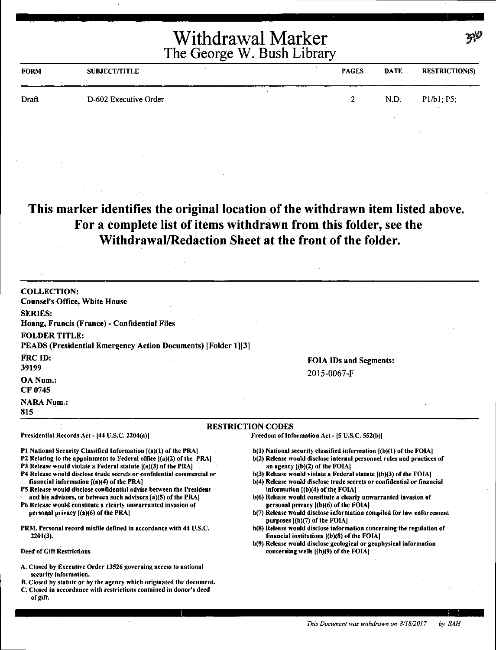| <b>FORM</b> | <b>SUBJECT/TITLE</b>  | <b>PAGES</b> | <b>DATE</b> | <b>RESTRICTION(S)</b> |
|-------------|-----------------------|--------------|-------------|-----------------------|
| Draft       | D-602 Executive Order |              | N.D.        | P1/b1; P5;            |
|             |                       |              |             |                       |

#### **This marker identifies the original location of the withdrawn item listed above. For a complete list of items withdrawn from this folder, see the Withdrawal/Redaction Sheet at the front of the folder.**

| <b>COLLECTION:</b><br><b>Counsel's Office, White House</b>                                                                                                                                                                                                                                                                                                                                                                                                                                                                                                                         |                                                                                                                                                                                                                                                                                                                                                                                                                                                                                                                                                                                            |
|------------------------------------------------------------------------------------------------------------------------------------------------------------------------------------------------------------------------------------------------------------------------------------------------------------------------------------------------------------------------------------------------------------------------------------------------------------------------------------------------------------------------------------------------------------------------------------|--------------------------------------------------------------------------------------------------------------------------------------------------------------------------------------------------------------------------------------------------------------------------------------------------------------------------------------------------------------------------------------------------------------------------------------------------------------------------------------------------------------------------------------------------------------------------------------------|
| <b>SERIES:</b><br>Hoang, Francis (France) - Confidential Files                                                                                                                                                                                                                                                                                                                                                                                                                                                                                                                     |                                                                                                                                                                                                                                                                                                                                                                                                                                                                                                                                                                                            |
| <b>FOLDER TITLE:</b><br>PEADS (Presidential Emergency Action Documents) [Folder 1][3]                                                                                                                                                                                                                                                                                                                                                                                                                                                                                              |                                                                                                                                                                                                                                                                                                                                                                                                                                                                                                                                                                                            |
| FRC ID:<br>39199                                                                                                                                                                                                                                                                                                                                                                                                                                                                                                                                                                   | <b>FOIA IDs and Segments:</b>                                                                                                                                                                                                                                                                                                                                                                                                                                                                                                                                                              |
| <b>OA Num.:</b><br>CF 0745                                                                                                                                                                                                                                                                                                                                                                                                                                                                                                                                                         | 2015-0067-F                                                                                                                                                                                                                                                                                                                                                                                                                                                                                                                                                                                |
| <b>NARA Num.:</b><br>815                                                                                                                                                                                                                                                                                                                                                                                                                                                                                                                                                           |                                                                                                                                                                                                                                                                                                                                                                                                                                                                                                                                                                                            |
|                                                                                                                                                                                                                                                                                                                                                                                                                                                                                                                                                                                    | <b>RESTRICTION CODES</b>                                                                                                                                                                                                                                                                                                                                                                                                                                                                                                                                                                   |
| Presidential Records Act - [44 U.S.C. 2204(a)]                                                                                                                                                                                                                                                                                                                                                                                                                                                                                                                                     | Freedom of Information Act - [5 U.S.C. 552(b)]                                                                                                                                                                                                                                                                                                                                                                                                                                                                                                                                             |
| P1 National Security Classified Information [(a)(1) of the PRA]<br>P2 Relating to the appointment to Federal office $[(a)(2)$ of the PRA]<br>P3 Release would violate a Federal statute [(a)(3) of the PRA]<br>P4 Release would disclose trade secrets or confidential commercial or<br>financial information [(a)(4) of the PRA]<br>P5 Release would disclose confidential advise between the President<br>and his advisors, or between such advisors [a)(5) of the PRA]<br>P6 Release would constitute a clearly unwarranted invasion of<br>personal privacy [(a)(6) of the PRA] | b(1) National security classified information [(b)(1) of the FOIA]<br>b(2) Release would disclose internal personnel rules and practices of<br>an agency $(1)(2)$ of the FOIA.<br>b(3) Release would violate a Federal statute [(b)(3) of the FOIA]<br>b(4) Release would disclose trade secrets or confidential or financial<br>information $[(b)(4)$ of the FOIA]<br>b(6) Release would constitute a clearly unwarranted invasion of<br>personal privacy ((b)(6) of the FOIA]<br>b(7) Release would disclose information compiled for law enforcement<br>purposes $[(b)(7)$ of the FOIA] |
| PRM, Personal record misfile defined in accordance with 44 U.S.C.<br>$2201(3)$ .                                                                                                                                                                                                                                                                                                                                                                                                                                                                                                   | b(8) Release would disclose information concerning the regulation of<br>financial institutions [(b)(8) of the FOIA]                                                                                                                                                                                                                                                                                                                                                                                                                                                                        |
| <b>Deed of Gift Restrictions</b>                                                                                                                                                                                                                                                                                                                                                                                                                                                                                                                                                   | b(9) Release would disclose geological or geophysical information<br>concerning wells [(b)(9) of the FOIA]                                                                                                                                                                                                                                                                                                                                                                                                                                                                                 |
| A, Closed by Executive Order 13526 governing access to national<br>security information.<br>B. Closed by statute or by the agency which originated the document.<br>C. Closed in accordance with restrictions contained in donor's deed<br>of gift.                                                                                                                                                                                                                                                                                                                                |                                                                                                                                                                                                                                                                                                                                                                                                                                                                                                                                                                                            |

 $\mathcal{W}$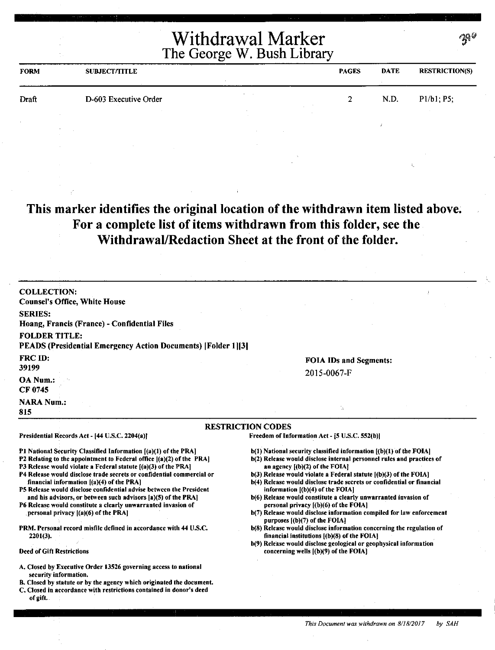| <b>FORM</b> | <b>SUBJECT/TITLE</b>  | <b>PAGES</b>   | <b>DATE</b> | <b>RESTRICTION(S)</b> |
|-------------|-----------------------|----------------|-------------|-----------------------|
| Draft       | D-603 Executive Order | $\overline{2}$ | N.D.        | P1/b1; P5;            |
|             |                       |                |             |                       |
|             |                       |                |             |                       |

## **This marker identifies the original location of the withdrawn item listed above. For a complete list of items withdrawn from this folder, see the Withdrawal/Redaction Sheet at the front of the folder.**

| <b>COLLECTION:</b>                                                                                                   |                                                                                                                                                 |
|----------------------------------------------------------------------------------------------------------------------|-------------------------------------------------------------------------------------------------------------------------------------------------|
| <b>Counsel's Office, White House</b>                                                                                 |                                                                                                                                                 |
| <b>SERIES:</b>                                                                                                       |                                                                                                                                                 |
| Hoang, Francis (France) - Confidential Files                                                                         |                                                                                                                                                 |
| <b>FOLDER TITLE:</b>                                                                                                 |                                                                                                                                                 |
| PEADS (Presidential Emergency Action Documents) [Folder 1][3]                                                        |                                                                                                                                                 |
| <b>FRC ID:</b>                                                                                                       |                                                                                                                                                 |
| 39199                                                                                                                | <b>FOIA IDs and Segments:</b>                                                                                                                   |
| <b>OA Num.:</b>                                                                                                      | 2015-0067-F                                                                                                                                     |
| CF 0745                                                                                                              |                                                                                                                                                 |
|                                                                                                                      |                                                                                                                                                 |
| <b>NARA Num.:</b>                                                                                                    | ts.                                                                                                                                             |
| 815                                                                                                                  |                                                                                                                                                 |
|                                                                                                                      | <b>RESTRICTION CODES</b>                                                                                                                        |
| Presidential Records Act - [44 U.S.C. 2204(a)]                                                                       | Freedom of Information Act - [5 U.S.C. 552(b)]                                                                                                  |
| P1 National Security Classified Information [(a)(1) of the PRA]                                                      | $b(1)$ National security classified information $(a)(1)$ of the FOIA.                                                                           |
| P2 Relating to the appointment to Federal office [(a)(2) of the PRA]                                                 | b(2) Release would disclose internal personnel rules and practices of                                                                           |
| P3 Release would violate a Federal statute [(a)(3) of the PRA]                                                       | an agency $[(b)(2)$ of the FOIA?                                                                                                                |
| P4 Release would disclose trade secrets or confidential commercial or<br>financial information $[(a)(4)$ of the PRA] | $b(3)$ Release would violate a Federal statute $[(b)(3)$ of the FOIA]<br>b(4) Release would disclose trade secrets or confidential or financial |
| P5 Release would disclose confidential advise between the President                                                  | information [(b)(4) of the FOIA]                                                                                                                |
| and his advisors, or between such advisors [a](5) of the PRA]                                                        | b(6) Release would constitute a clearly unwarranted invasion of                                                                                 |
| P6 Release would constitute a clearly unwarranted invasion of                                                        | personal privacy [(b)(6) of the FOIA]                                                                                                           |
| personal privacy ((a)(6) of the PRA)                                                                                 | b(7) Release would disclose information compiled for law enforcement<br>purposes ((b)(7) of the FOIA]                                           |
| PRM. Personal record misfile defined in accordance with 44 U.S.C.                                                    | b(8) Release would disclose information concerning the regulation of                                                                            |
| $2201(3)$ .                                                                                                          | financial institutions [(b)(8) of the FOIA]                                                                                                     |
|                                                                                                                      | b(9) Release would disclose geological or geophysical information                                                                               |
| <b>Deed of Gift Restrictions</b>                                                                                     | concerning wells $[(b)(9)$ of the FOIA]                                                                                                         |
| A. Closed by Executive Order 13526 governing access to national                                                      |                                                                                                                                                 |
| security information.<br>B. Closed by statute or by the agency which originated the document.                        |                                                                                                                                                 |
| C. Closed in accordance with restrictions contained in donor's deed                                                  |                                                                                                                                                 |
| of gift.                                                                                                             |                                                                                                                                                 |
|                                                                                                                      |                                                                                                                                                 |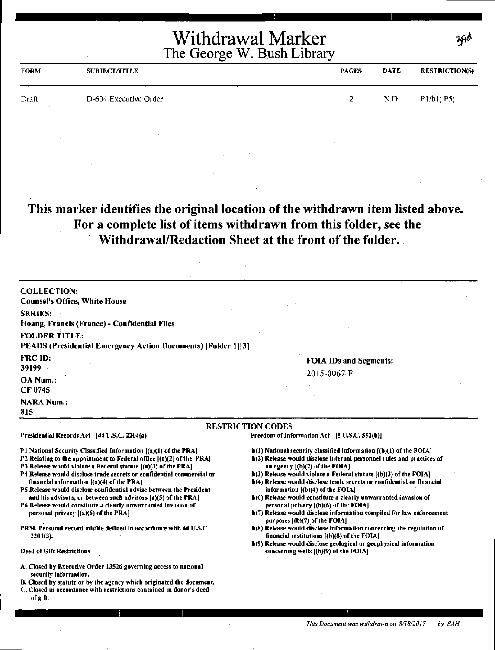| <b>FORM</b>        | <b>SUBJECT/TITLE</b>  | <b>PAGES</b> | DATE | <b>RESTRICTION(S)</b> |
|--------------------|-----------------------|--------------|------|-----------------------|
| Draft<br>$10 - 20$ | D-604 Executive Order |              | N.D. | P1/b1; P5;            |
|                    |                       |              |      |                       |

#### **This marker identifies the original location of the withdrawn item listed above. For a complete list of items withdrawn from this folder, see the Withdrawal/Redaction Sheet at the front of the folder.**

| <b>COLLECTION:</b><br><b>Counsel's Office, White House</b>                                                                                                                                                                                                                                                                                                                                                                                                                                                                                                                                                                                                               |                                                                                                                                                                                                                                                                                                                                                                                                                                                                                                                                                                                                                                                                                                                      |
|--------------------------------------------------------------------------------------------------------------------------------------------------------------------------------------------------------------------------------------------------------------------------------------------------------------------------------------------------------------------------------------------------------------------------------------------------------------------------------------------------------------------------------------------------------------------------------------------------------------------------------------------------------------------------|----------------------------------------------------------------------------------------------------------------------------------------------------------------------------------------------------------------------------------------------------------------------------------------------------------------------------------------------------------------------------------------------------------------------------------------------------------------------------------------------------------------------------------------------------------------------------------------------------------------------------------------------------------------------------------------------------------------------|
| <b>SERIES:</b>                                                                                                                                                                                                                                                                                                                                                                                                                                                                                                                                                                                                                                                           |                                                                                                                                                                                                                                                                                                                                                                                                                                                                                                                                                                                                                                                                                                                      |
| Hoang, Francis (France) - Confidential Files                                                                                                                                                                                                                                                                                                                                                                                                                                                                                                                                                                                                                             |                                                                                                                                                                                                                                                                                                                                                                                                                                                                                                                                                                                                                                                                                                                      |
| <b>FOLDER TITLE:</b><br><b>PEADS (Presidential Emergency Action Documents) [Folder 1][3]</b>                                                                                                                                                                                                                                                                                                                                                                                                                                                                                                                                                                             |                                                                                                                                                                                                                                                                                                                                                                                                                                                                                                                                                                                                                                                                                                                      |
| FRC ID:<br>39199                                                                                                                                                                                                                                                                                                                                                                                                                                                                                                                                                                                                                                                         | <b>FOIA IDs and Segments:</b>                                                                                                                                                                                                                                                                                                                                                                                                                                                                                                                                                                                                                                                                                        |
| OA Num.:<br>CF 0745                                                                                                                                                                                                                                                                                                                                                                                                                                                                                                                                                                                                                                                      | 2015-0067-F                                                                                                                                                                                                                                                                                                                                                                                                                                                                                                                                                                                                                                                                                                          |
| <b>NARA Num.:</b><br>815                                                                                                                                                                                                                                                                                                                                                                                                                                                                                                                                                                                                                                                 |                                                                                                                                                                                                                                                                                                                                                                                                                                                                                                                                                                                                                                                                                                                      |
|                                                                                                                                                                                                                                                                                                                                                                                                                                                                                                                                                                                                                                                                          | <b>RESTRICTION CODES</b>                                                                                                                                                                                                                                                                                                                                                                                                                                                                                                                                                                                                                                                                                             |
| Presidential Records Act - [44 U.S.C. 2204(a)]                                                                                                                                                                                                                                                                                                                                                                                                                                                                                                                                                                                                                           | Freedom of Information Act - [5 U.S.C. 552(b)]                                                                                                                                                                                                                                                                                                                                                                                                                                                                                                                                                                                                                                                                       |
| P1 National Security Classified Information [(a)(1) of the PRA]<br>P2 Relating to the appointment to Federal office [(a)(2) of the PRA]<br>P3 Release would violate a Federal statute $J(a)(3)$ of the PRA]<br>P4 Release would disclose trade secrets or confidential commercial or<br>financial information [(a)(4) of the PRA]<br>P5 Release would disclose confidential advise between the President<br>and his advisors, or between such advisors [a](5) of the PRA]<br>P6 Release would constitute a clearly unwarranted invasion of<br>personal privacy $( (a)(6)$ of the PRA<br>PRM, Personal record misfile defined in accordance with 44 U.S.C.<br>$2201(3)$ . | b(1) National security classified information [(b)(1) of the FOIA]<br>b(2) Release would disclose internal personnel rules and practices of<br>an agency $[(b)(2)$ of the FOIA]<br>$b(3)$ Release would violate a Federal statute $(a)(3)$ of the FOIA]<br>b(4) Release would disclose trade secrets or confidential or financial<br>information $[(b)(4)$ of the FOIA]<br>b(6) Release would constitute a clearly unwarranted invasion of<br>personal privacy [(b)(6) of the FOIA]<br>b(7) Release would disclose information compiled for law enforcement<br>purposes [(b)(7) of the FOIA]<br>b(8) Release would disclose information concerning the regulation of<br>financial institutions $(1)(8)$ of the FOIA. |
| <b>Deed of Gift Restrictions</b>                                                                                                                                                                                                                                                                                                                                                                                                                                                                                                                                                                                                                                         | b(9) Release would disclose geological or geophysical information<br>concerning wells $($ (b) $(9)$ of the FOIA $]$                                                                                                                                                                                                                                                                                                                                                                                                                                                                                                                                                                                                  |
| A. Closed by Executive Order 13526 governing access to national<br>security information.<br>B. Closed by statute or by the agency which originated the document.<br>C. Closed in accordance with restrictions contained in donor's deed<br>of gift.                                                                                                                                                                                                                                                                                                                                                                                                                      |                                                                                                                                                                                                                                                                                                                                                                                                                                                                                                                                                                                                                                                                                                                      |

 $290$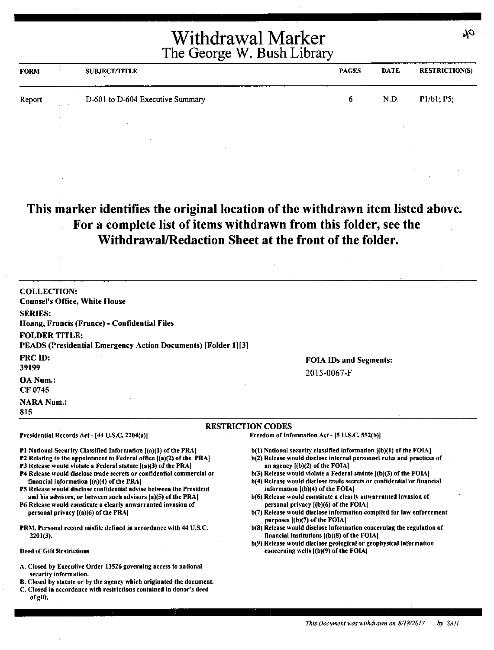| <b>FORM</b> | <b>SUBJECT/TITLE</b>             | <b>PAGES</b> | <b>DATE</b> | RESTRICTION(S) |
|-------------|----------------------------------|--------------|-------------|----------------|
| Report      | D-601 to D-604 Executive Summary |              | N.D.        | P1/b1; P5;     |

#### **This marker identifies the original location of the withdrawn item listed above. For a complete list of items withdrawn from this folder, see the Withdrawal/Redaction Sheet at the front of the folder.**

| <b>COLLECTION:</b><br><b>Counsel's Office, White House</b>                                                                                                                                                                                                                                                                                                                                                                                                                                                                                                                                                                                                                  |                                                                                                                                                                                                                                                                                                                                                                                                                                                                                                                                                                                                                                                                                                                                                                                              |
|-----------------------------------------------------------------------------------------------------------------------------------------------------------------------------------------------------------------------------------------------------------------------------------------------------------------------------------------------------------------------------------------------------------------------------------------------------------------------------------------------------------------------------------------------------------------------------------------------------------------------------------------------------------------------------|----------------------------------------------------------------------------------------------------------------------------------------------------------------------------------------------------------------------------------------------------------------------------------------------------------------------------------------------------------------------------------------------------------------------------------------------------------------------------------------------------------------------------------------------------------------------------------------------------------------------------------------------------------------------------------------------------------------------------------------------------------------------------------------------|
| <b>SERIES:</b><br>Hoang, Francis (France) - Confidential Files                                                                                                                                                                                                                                                                                                                                                                                                                                                                                                                                                                                                              |                                                                                                                                                                                                                                                                                                                                                                                                                                                                                                                                                                                                                                                                                                                                                                                              |
| <b>FOLDER TITLE:</b><br><b>PEADS (Presidential Emergency Action Documents) [Folder 1][3]</b>                                                                                                                                                                                                                                                                                                                                                                                                                                                                                                                                                                                |                                                                                                                                                                                                                                                                                                                                                                                                                                                                                                                                                                                                                                                                                                                                                                                              |
| FRC ID:<br>39199<br><b>OA Num.:</b>                                                                                                                                                                                                                                                                                                                                                                                                                                                                                                                                                                                                                                         | <b>FOIA IDs and Segments:</b><br>2015-0067-F                                                                                                                                                                                                                                                                                                                                                                                                                                                                                                                                                                                                                                                                                                                                                 |
| CF 0745<br><b>NARA Num.:</b><br>815                                                                                                                                                                                                                                                                                                                                                                                                                                                                                                                                                                                                                                         |                                                                                                                                                                                                                                                                                                                                                                                                                                                                                                                                                                                                                                                                                                                                                                                              |
|                                                                                                                                                                                                                                                                                                                                                                                                                                                                                                                                                                                                                                                                             | <b>RESTRICTION CODES</b>                                                                                                                                                                                                                                                                                                                                                                                                                                                                                                                                                                                                                                                                                                                                                                     |
| Presidential Records Act - [44 U.S.C. 2204(a)]                                                                                                                                                                                                                                                                                                                                                                                                                                                                                                                                                                                                                              | Freedom of Information Act - [5 U.S.C. 552(b)]                                                                                                                                                                                                                                                                                                                                                                                                                                                                                                                                                                                                                                                                                                                                               |
| P1 National Security Classified Information [(a)(1) of the PRA]<br>P2 Relating to the appointment to Federal office $[(a)(2)$ of the PRA]<br>P3 Release would violate a Federal statute ((a)(3) of the PRA]<br>P4 Release would disclose trade secrets or confidential commercial or<br>financial information $[(a)(4)$ of the PRA $]$<br>P5 Release would disclose confidential advise between the President<br>and his advisors, or between such advisors [a](5) of the PRA]<br>P6 Release would constitute a clearly unwarranted invasion of<br>personal privacy [(a)(6) of the PRA]<br>PRM. Personal record misfile defined in accordance with 44 U.S.C.<br>$2201(3)$ . | $b(1)$ National security classified information $[(b)(1)$ of the FOIA]<br>b(2) Release would disclose internal personnel rules and practices of<br>an agency $[(b)(2)$ of the FOIA]<br>$b(3)$ Release would violate a Federal statute $[(b)(3)$ of the FOIA]<br>b(4) Release would disclose trade secrets or confidential or financial<br>information (b)(4) of the FOIA]<br>b(6) Release would constitute a clearly unwarranted invasion of<br>personal privacy ((b)(6) of the FOIA]<br>b(7) Release would disclose information compiled for law enforcement<br>purposes $(a)(7)$ of the FOIA<br>b(8) Release would disclose information concerning the regulation of<br>financial institutions $[(b)(8)$ of the FOIA]<br>b(9) Release would disclose geological or geophysical information |
| <b>Deed of Gift Restrictions</b>                                                                                                                                                                                                                                                                                                                                                                                                                                                                                                                                                                                                                                            | concerning wells [(b)(9) of the FOIA]                                                                                                                                                                                                                                                                                                                                                                                                                                                                                                                                                                                                                                                                                                                                                        |
| A. Closed by Executive Order 13526 governing access to national<br>security information.                                                                                                                                                                                                                                                                                                                                                                                                                                                                                                                                                                                    |                                                                                                                                                                                                                                                                                                                                                                                                                                                                                                                                                                                                                                                                                                                                                                                              |

B. Closed by statute or by the agency which originated the document. C. Closed in accordance with restrictions contained in donor's deed

of gift.

Of c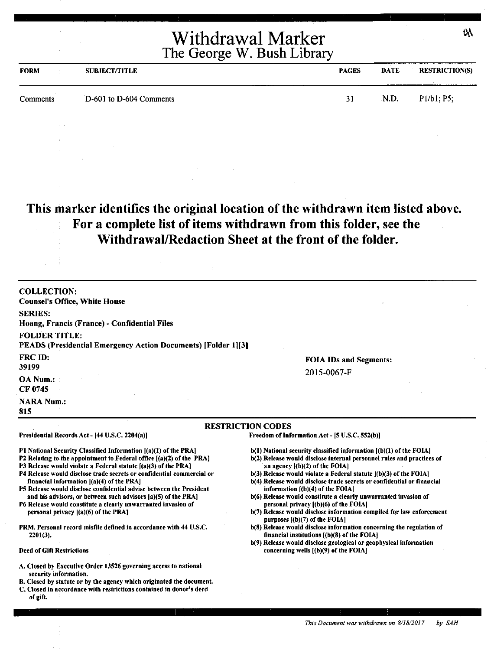| <b>FORM</b> | <b>SUBJECT/TITLE</b>    | <b>PAGES</b> | DATE | <b>RESTRICTION(S)</b> |
|-------------|-------------------------|--------------|------|-----------------------|
| Comments    | D-601 to D-604 Comments | 31           | N.D. | P1/b1; P5;            |

#### **This marker identifies the original location of the withdrawn item listed above. For a complete list of items withdrawn from this folder, see the Withdrawal/Redaction Sheet at the front of the folder.**

| <b>COLLECTION:</b><br><b>Counsel's Office, White House</b>                                                                                                                                                                                                                         |                                                                                                                                                                                                                                                     |
|------------------------------------------------------------------------------------------------------------------------------------------------------------------------------------------------------------------------------------------------------------------------------------|-----------------------------------------------------------------------------------------------------------------------------------------------------------------------------------------------------------------------------------------------------|
| <b>SERIES:</b><br>Hoang, Francis (France) - Confidential Files                                                                                                                                                                                                                     |                                                                                                                                                                                                                                                     |
| <b>FOLDER TITLE:</b><br><b>PEADS (Presidential Emergency Action Documents) [Folder 1][3]</b>                                                                                                                                                                                       |                                                                                                                                                                                                                                                     |
| <b>FRC ID:</b>                                                                                                                                                                                                                                                                     | <b>FOIA IDs and Segments:</b>                                                                                                                                                                                                                       |
| 39199                                                                                                                                                                                                                                                                              | 2015-0067-F                                                                                                                                                                                                                                         |
| <b>OA Num.:</b><br>CF 0745                                                                                                                                                                                                                                                         |                                                                                                                                                                                                                                                     |
| <b>NARA Num.:</b><br>815                                                                                                                                                                                                                                                           |                                                                                                                                                                                                                                                     |
|                                                                                                                                                                                                                                                                                    | <b>RESTRICTION CODES</b>                                                                                                                                                                                                                            |
| Presidential Records Act - [44 U.S.C. 2204(a)]                                                                                                                                                                                                                                     | Freedom of Information Act - [5 U.S.C. 552(b)]                                                                                                                                                                                                      |
| P1 National Security Classified Information [(a)(1) of the PRA]<br>P2 Relating to the appointment to Federal office [(a)(2) of the PRA]<br>P3 Release would violate a Federal statute ((a)(3) of the PRA]<br>P4 Release would disclose trade secrets or confidential commercial or | b(1) National security classified information [(b)(1) of the FOIA]<br>b(2) Release would disclose internal personnel rules and practices of<br>an agency $(6)(2)$ of the FOIA]<br>b(3) Release would violate a Federal statute [(b)(3) of the FOIA] |
| financial information [(a)(4) of the PRA]                                                                                                                                                                                                                                          | b(4) Release would disclose trade secrets or confidential or financial                                                                                                                                                                              |
| P5 Release would disclose confidential advise between the President<br>and his advisors, or between such advisors [a](5) of the PRA]                                                                                                                                               | information $[(b)(4)$ of the FOIA<br>b(6) Release would constitute a clearly unwarranted invasion of                                                                                                                                                |
| P6 Release would constitute a clearly unwarranted invasion of                                                                                                                                                                                                                      | personal privacy ((b)(6) of the FOIA]                                                                                                                                                                                                               |
| personal privacy $[(a)(6)$ of the PRA                                                                                                                                                                                                                                              | b(7) Release would disclose information compiled for law enforcement                                                                                                                                                                                |
|                                                                                                                                                                                                                                                                                    | purposes ((b)(7) of the FOIA]                                                                                                                                                                                                                       |
| PRM. Personal record misfile defined in accordance with 44 U.S.C.                                                                                                                                                                                                                  | b(8) Release would disclose information concerning the regulation of                                                                                                                                                                                |
| $2201(3)$ .                                                                                                                                                                                                                                                                        | financial institutions [(b)(8) of the FOIA]<br>b(9) Release would disclose geological or geophysical information                                                                                                                                    |

Deed of Gift Restrictions

- A. Closed by Executive Order 13526 governing access to national security information.
- B. Closed by statute or by the agency which originated the document.
- C. Closed in accordance with restrictions contained in donor's deed of gift.

*This Document was withdrawn on 8/18/2017 by SAH* 

concerning wells [(b)(9) of the FOIA)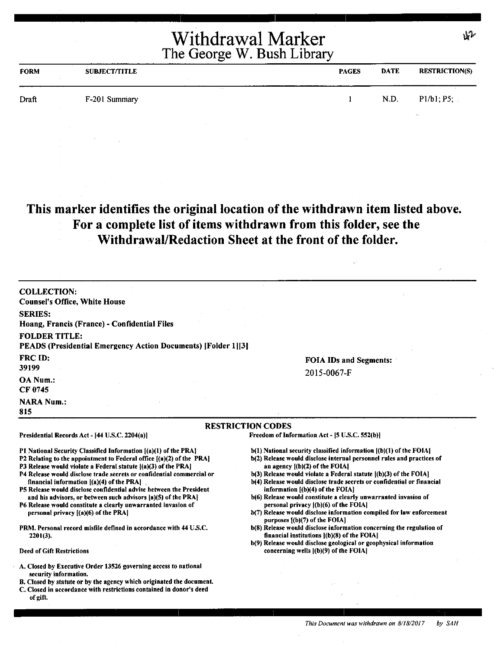| <b>FORM</b> | <b>SUBJECT/TITLE</b> |               | <b>PAGES</b> | <b>DATE</b> | <b>RESTRICTION(S)</b> |
|-------------|----------------------|---------------|--------------|-------------|-----------------------|
| Draft       | F-201 Summary        | $\sim$ $\sim$ |              | N.D.        | P1/b1; P5;            |
|             |                      |               |              |             | the con-              |

#### **This marker identifies the original location of the withdrawn item listed above. For a complete list of items withdrawn from this folder, see the Withdrawal/Redaction Sheet at the front of the folder.**

| <b>COLLECTION:</b><br><b>Counsel's Office, White House</b>                                                                                                                                                                                                                                                                                                                                                                                                                                                                                                                            |                                                                                                                                                                                                                                                                                                                                                                                                                                                                                                                                                                                         |
|---------------------------------------------------------------------------------------------------------------------------------------------------------------------------------------------------------------------------------------------------------------------------------------------------------------------------------------------------------------------------------------------------------------------------------------------------------------------------------------------------------------------------------------------------------------------------------------|-----------------------------------------------------------------------------------------------------------------------------------------------------------------------------------------------------------------------------------------------------------------------------------------------------------------------------------------------------------------------------------------------------------------------------------------------------------------------------------------------------------------------------------------------------------------------------------------|
| <b>SERIES:</b><br>Hoang, Francis (France) - Confidential Files                                                                                                                                                                                                                                                                                                                                                                                                                                                                                                                        |                                                                                                                                                                                                                                                                                                                                                                                                                                                                                                                                                                                         |
| <b>FOLDER TITLE:</b><br><b>PEADS (Presidential Emergency Action Documents) [Folder 1][3]</b>                                                                                                                                                                                                                                                                                                                                                                                                                                                                                          |                                                                                                                                                                                                                                                                                                                                                                                                                                                                                                                                                                                         |
| FRC ID:<br>39199                                                                                                                                                                                                                                                                                                                                                                                                                                                                                                                                                                      | <b>FOIA IDs and Segments:</b>                                                                                                                                                                                                                                                                                                                                                                                                                                                                                                                                                           |
| OA Num.:<br>CF 0745                                                                                                                                                                                                                                                                                                                                                                                                                                                                                                                                                                   | 2015-0067-F                                                                                                                                                                                                                                                                                                                                                                                                                                                                                                                                                                             |
| <b>NARA Num.:</b><br>815                                                                                                                                                                                                                                                                                                                                                                                                                                                                                                                                                              |                                                                                                                                                                                                                                                                                                                                                                                                                                                                                                                                                                                         |
|                                                                                                                                                                                                                                                                                                                                                                                                                                                                                                                                                                                       | <b>RESTRICTION CODES</b>                                                                                                                                                                                                                                                                                                                                                                                                                                                                                                                                                                |
| Presidential Records Act - [44 U.S.C. 2204(a)]                                                                                                                                                                                                                                                                                                                                                                                                                                                                                                                                        | Freedom of Information Act - [5 U.S.C. 552(b)]                                                                                                                                                                                                                                                                                                                                                                                                                                                                                                                                          |
| P1 National Security Classified Information [(a)(1) of the PRA]<br>P2 Relating to the appointment to Federal office [(a)(2) of the PRA]<br>P3 Release would violate a Federal statute [(a)(3) of the PRA]<br>P4 Release would disclose trade secrets or confidential commercial or<br>financial information $[(a)(4)$ of the PRA $]$<br>P5 Release would disclose confidential advise between the President<br>and his advisors, or between such advisors (a)(5) of the PRA]<br>P6 Release would constitute a clearly unwarranted invasion of<br>personal privacy [(a)(6) of the PRA] | b(1) National security classified information [(b)(1) of the FOIA]<br>b(2) Release would disclose internal personnel rules and practices of<br>an agency $[(b)(2)$ of the FOIA]<br>b(3) Release would violate a Federal statute ((b)(3) of the FOIA]<br>b(4) Release would disclose trade secrets or confidential or financial<br>information [(b)(4) of the FOIA]<br>b(6) Release would constitute a clearly unwarranted invasion of<br>personal privacy ((b)(6) of the FOIA]<br>b(7) Release would disclose information compiled for law enforcement<br>purposes [(b)(7) of the FOIA] |
| PRM. Personal record misfile defined in accordance with 44 U.S.C.<br>$2201(3)$ .                                                                                                                                                                                                                                                                                                                                                                                                                                                                                                      | b(8) Release would disclose information concerning the regulation of<br>financial institutions $[(b)(8)$ of the FOIA]<br>b(9) Release would disclose geological or geophysical information                                                                                                                                                                                                                                                                                                                                                                                              |
| <b>Deed of Gift Restrictions</b>                                                                                                                                                                                                                                                                                                                                                                                                                                                                                                                                                      | concerning wells [(b)(9) of the FOIA]                                                                                                                                                                                                                                                                                                                                                                                                                                                                                                                                                   |
| A. Closed by Executive Order 13526 governing access to national<br>security information.<br>B. Closed by statute or by the agency which originated the document.<br>C. Closed in accordance with restrictions contained in donor's deed<br>of gift.                                                                                                                                                                                                                                                                                                                                   |                                                                                                                                                                                                                                                                                                                                                                                                                                                                                                                                                                                         |

 $\mathbf{F}$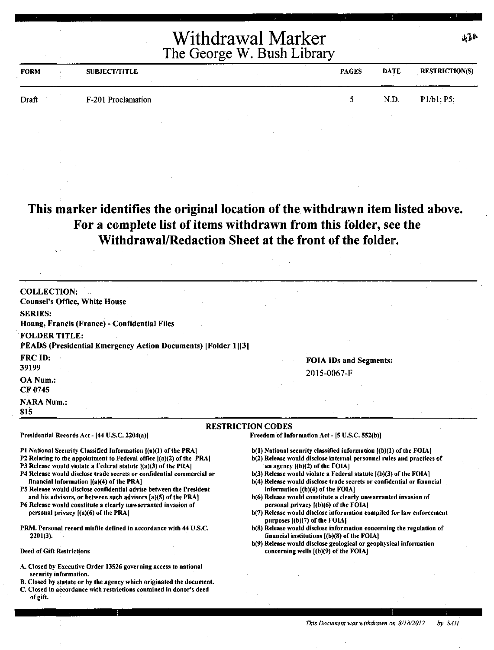| <b>FORM</b> | <b>SUBJECT/TITLE</b> | <b>PAGES</b> | <b>DATE</b> | <b>RESTRICTION(S)</b> |
|-------------|----------------------|--------------|-------------|-----------------------|
| Draft       | F-201 Proclamation   |              | N.D.        | P1/b1; P5;            |
|             |                      |              |             |                       |

#### **This marker identifies the original location of the withdrawn item listed above. For a complete list of items withdrawn from this folder, see the Withdrawal/Redaction Sheet at the front of the** folder.

| <b>COLLECTION:</b><br><b>Counsel's Office, White House</b>                                                                                                                                                                                                                                                                                                                                                                                                                                                                                                                                                                                                             |                                                                                                                                                                                                                                                                                                                                                                                                                                                                                                                                                                                                                                                                                                                       |
|------------------------------------------------------------------------------------------------------------------------------------------------------------------------------------------------------------------------------------------------------------------------------------------------------------------------------------------------------------------------------------------------------------------------------------------------------------------------------------------------------------------------------------------------------------------------------------------------------------------------------------------------------------------------|-----------------------------------------------------------------------------------------------------------------------------------------------------------------------------------------------------------------------------------------------------------------------------------------------------------------------------------------------------------------------------------------------------------------------------------------------------------------------------------------------------------------------------------------------------------------------------------------------------------------------------------------------------------------------------------------------------------------------|
| <b>SERIES:</b><br>Hoang, Francis (France) - Confidential Files                                                                                                                                                                                                                                                                                                                                                                                                                                                                                                                                                                                                         |                                                                                                                                                                                                                                                                                                                                                                                                                                                                                                                                                                                                                                                                                                                       |
| <b>FOLDER TITLE:</b><br>PEADS (Presidential Emergency Action Documents) [Folder 1][3]                                                                                                                                                                                                                                                                                                                                                                                                                                                                                                                                                                                  |                                                                                                                                                                                                                                                                                                                                                                                                                                                                                                                                                                                                                                                                                                                       |
| <b>FRC ID:</b><br>39199                                                                                                                                                                                                                                                                                                                                                                                                                                                                                                                                                                                                                                                | <b>FOIA IDs and Segments:</b><br>2015-0067-F                                                                                                                                                                                                                                                                                                                                                                                                                                                                                                                                                                                                                                                                          |
| OA Num.:<br>CF 0745                                                                                                                                                                                                                                                                                                                                                                                                                                                                                                                                                                                                                                                    |                                                                                                                                                                                                                                                                                                                                                                                                                                                                                                                                                                                                                                                                                                                       |
| <b>NARA Num.:</b><br>815                                                                                                                                                                                                                                                                                                                                                                                                                                                                                                                                                                                                                                               |                                                                                                                                                                                                                                                                                                                                                                                                                                                                                                                                                                                                                                                                                                                       |
|                                                                                                                                                                                                                                                                                                                                                                                                                                                                                                                                                                                                                                                                        | <b>RESTRICTION CODES</b>                                                                                                                                                                                                                                                                                                                                                                                                                                                                                                                                                                                                                                                                                              |
| Presidential Records Act - [44 U.S.C. 2204(a)]                                                                                                                                                                                                                                                                                                                                                                                                                                                                                                                                                                                                                         | Freedom of Information Act - [5 U.S.C. 552(b)]                                                                                                                                                                                                                                                                                                                                                                                                                                                                                                                                                                                                                                                                        |
| P1 National Security Classified Information {(a)(1) of the PRA]<br>P2 Relating to the appointment to Federal office [(a)(2) of the PRA]<br>P3 Release would violate a Federal statute $(a)(3)$ of the PRA]<br>P4 Release would disclose trade secrets or confidential commercial or<br>financial information [(a)(4) of the PRA]<br>P5 Release would disclose confidential advise between the President<br>and his advisors, or between such advisors [a)(5) of the PRA]<br>P6 Release would constitute a clearly unwarranted invasion of<br>personal privacy $[(a)(6)$ of the PRA<br>PRM. Personal record misfile defined in accordance with 44 U.S.C.<br>$2201(3)$ . | $b(1)$ National security classified information $(0)(1)$ of the FOIA]<br>b(2) Release would disclose internal personnel rules and practices of<br>an agency $[(b)(2)$ of the FOIA]<br>b(3) Release would violate a Federal statute [(b)(3) of the FOIA]<br>b(4) Release would disclose trade secrets or confidential or financial<br>information $[(b)(4)$ of the FOIA]<br>b(6) Release would constitute a clearly unwarranted invasion of<br>personal privacy [(b)(6) of the FOIA]<br>b(7) Release would disclose information compiled for law enforcement<br>purposes $[(b)(7)$ of the FOIA]<br>b(8) Release would disclose information concerning the regulation of<br>financial institutions [(b)(8) of the FOIA] |
| <b>Deed of Gift Restrictions</b>                                                                                                                                                                                                                                                                                                                                                                                                                                                                                                                                                                                                                                       | b(9) Release would disclose geological or geophysical information<br>concerning wells $($ b $)(9)$ of the FOIA $]$                                                                                                                                                                                                                                                                                                                                                                                                                                                                                                                                                                                                    |
| A. Closed by Executive Order 13526 governing access to national<br>security information.<br>B. Closed by statute or by the agency which originated the document.<br>C. Closed in accordance with restrictions contained in donor's deed<br>of gift.                                                                                                                                                                                                                                                                                                                                                                                                                    |                                                                                                                                                                                                                                                                                                                                                                                                                                                                                                                                                                                                                                                                                                                       |

 $42$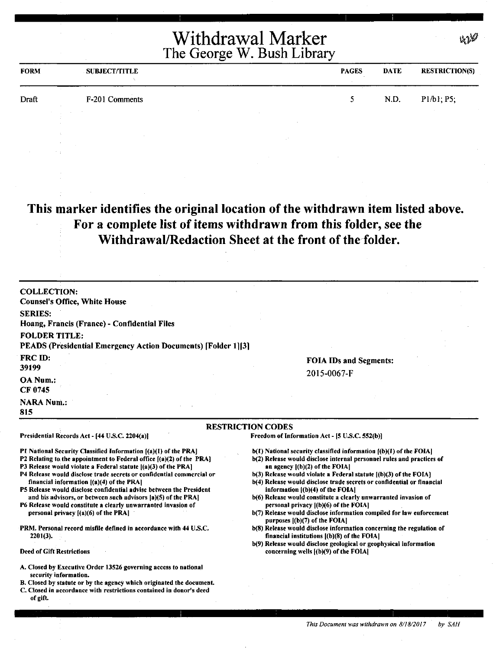| <b>FORM</b> | <b>SUBJECT/TITLE</b> | <b>PAGES</b> | <b>DATE</b> | <b>RESTRICTION(S)</b> |
|-------------|----------------------|--------------|-------------|-----------------------|
| Draft       | F-201 Comments       |              | N.D.        | P1/b1; P5;            |
|             |                      |              |             |                       |

#### **This marker identifies the original location of the withdrawn item listed above. For a complete list of items withdrawn from this folder, see the WithdrawaVRedaction Sheet at the front of the folder.**

| <b>COLLECTION:</b><br><b>Counsel's Office, White House</b>                                                                                                                                                                                                                                                                                                                                                                                                                                                                                                                         |                                                                                                                                                                                                                                                                                                                                                                                                                                                                                                                                                                                           |
|------------------------------------------------------------------------------------------------------------------------------------------------------------------------------------------------------------------------------------------------------------------------------------------------------------------------------------------------------------------------------------------------------------------------------------------------------------------------------------------------------------------------------------------------------------------------------------|-------------------------------------------------------------------------------------------------------------------------------------------------------------------------------------------------------------------------------------------------------------------------------------------------------------------------------------------------------------------------------------------------------------------------------------------------------------------------------------------------------------------------------------------------------------------------------------------|
| <b>SERIES:</b><br>Hoang, Francis (France) - Confidential Files                                                                                                                                                                                                                                                                                                                                                                                                                                                                                                                     |                                                                                                                                                                                                                                                                                                                                                                                                                                                                                                                                                                                           |
| <b>FOLDER TITLE:</b><br>PEADS (Presidential Emergency Action Documents) [Folder 1][3]                                                                                                                                                                                                                                                                                                                                                                                                                                                                                              |                                                                                                                                                                                                                                                                                                                                                                                                                                                                                                                                                                                           |
| FRC ID:<br>39199                                                                                                                                                                                                                                                                                                                                                                                                                                                                                                                                                                   | <b>FOIA IDs and Segments:</b>                                                                                                                                                                                                                                                                                                                                                                                                                                                                                                                                                             |
| <b>OA Num.:</b><br>CF 0745                                                                                                                                                                                                                                                                                                                                                                                                                                                                                                                                                         | 2015-0067-F                                                                                                                                                                                                                                                                                                                                                                                                                                                                                                                                                                               |
| <b>NARA Num.:</b><br>815                                                                                                                                                                                                                                                                                                                                                                                                                                                                                                                                                           |                                                                                                                                                                                                                                                                                                                                                                                                                                                                                                                                                                                           |
|                                                                                                                                                                                                                                                                                                                                                                                                                                                                                                                                                                                    | <b>RESTRICTION CODES</b>                                                                                                                                                                                                                                                                                                                                                                                                                                                                                                                                                                  |
| Presidential Records Act - [44 U.S.C. 2204(a)]                                                                                                                                                                                                                                                                                                                                                                                                                                                                                                                                     | Freedom of Information Act - [5 U.S.C. 552(b)]                                                                                                                                                                                                                                                                                                                                                                                                                                                                                                                                            |
| P1 National Security Classified Information [(a)(1) of the PRA]<br>P2 Relating to the appointment to Federal office [(a)(2) of the PRA]<br>P3 Release would violate a Federal statute [(a)(3) of the PRA]<br>P4 Release would disclose trade secrets or confidential commercial or<br>financial information [(a)(4) of the PRA]<br>P5 Release would disclose confidential advise between the President<br>and his advisors, or between such advisors [a)(5) of the PRA]<br>P6 Release would constitute a clearly unwarranted invasion of<br>personal privacy $[(a)(6)$ of the PRA] | b(1) National security classified information [(b)(1) of the FOIA]<br>b(2) Release would disclose internal personnel rules and practices of<br>an agency $ (b)(2)$ of the FOIA<br>$b(3)$ Release would violate a Federal statute $(a)(3)$ of the FOIA.<br>b(4) Release would disclose trade secrets or confidential or financial<br>information ((b)(4) of the FOIA]<br>b(6) Release would constitute a clearly unwarranted invasion of<br>personal privacy [(b)(6) of the FOIA]<br>b(7) Release would disclose information compiled for law enforcement<br>purposes [(b)(7) of the FOIA] |
| PRM. Personal record misfile defined in accordance with 44 U.S.C.<br>$2201(3)$ .                                                                                                                                                                                                                                                                                                                                                                                                                                                                                                   | b(8) Release would disclose information concerning the regulation of<br>financial institutions ((b)(8) of the FOIA]<br>b(9) Release would disclose geological or geophysical information                                                                                                                                                                                                                                                                                                                                                                                                  |
| <b>Deed of Gift Restrictions</b>                                                                                                                                                                                                                                                                                                                                                                                                                                                                                                                                                   | concerning wells [(b)(9) of the FOIA]                                                                                                                                                                                                                                                                                                                                                                                                                                                                                                                                                     |
| A. Closed by Executive Order 13526 governing access to national<br>security information.<br>B. Closed by statute or by the agency which originated the document.<br>C. Closed in accordance with restrictions contained in donor's deed<br>of gift.                                                                                                                                                                                                                                                                                                                                |                                                                                                                                                                                                                                                                                                                                                                                                                                                                                                                                                                                           |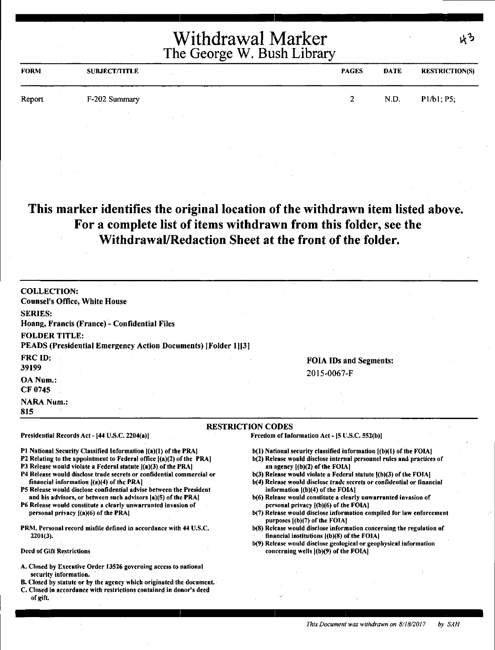| <b>FORM</b> | <b>SUBJECT/TITLE</b> | <b>PAGES</b> | <b>DATE</b> | <b>RESTRICTION(S)</b> |
|-------------|----------------------|--------------|-------------|-----------------------|
| Report      | F-202 Summary        |              | N.D.        | P1/b1; P5;            |
|             |                      |              |             |                       |

#### **This marker identifies the original location of the withdrawn item listed above. For a complete list of items withdrawn from this folder, see the WithdrawaVRedaction Sheet at the front of the folder.**

| <b>COLLECTION:</b>                                                                                                                                                                                                                                                                                                                                                                                                                                                                                                                                                                                                                                                      |                                                                                                                                                                                                                                                                                                                                                                                                                                                                                                                                                                                                                                                                                                                  |  |
|-------------------------------------------------------------------------------------------------------------------------------------------------------------------------------------------------------------------------------------------------------------------------------------------------------------------------------------------------------------------------------------------------------------------------------------------------------------------------------------------------------------------------------------------------------------------------------------------------------------------------------------------------------------------------|------------------------------------------------------------------------------------------------------------------------------------------------------------------------------------------------------------------------------------------------------------------------------------------------------------------------------------------------------------------------------------------------------------------------------------------------------------------------------------------------------------------------------------------------------------------------------------------------------------------------------------------------------------------------------------------------------------------|--|
| <b>Counsel's Office, White House</b>                                                                                                                                                                                                                                                                                                                                                                                                                                                                                                                                                                                                                                    |                                                                                                                                                                                                                                                                                                                                                                                                                                                                                                                                                                                                                                                                                                                  |  |
| <b>SERIES:</b>                                                                                                                                                                                                                                                                                                                                                                                                                                                                                                                                                                                                                                                          |                                                                                                                                                                                                                                                                                                                                                                                                                                                                                                                                                                                                                                                                                                                  |  |
| Hoang, Francis (France) - Confidential Files                                                                                                                                                                                                                                                                                                                                                                                                                                                                                                                                                                                                                            |                                                                                                                                                                                                                                                                                                                                                                                                                                                                                                                                                                                                                                                                                                                  |  |
| <b>FOLDER TITLE:</b><br>PEADS (Presidential Emergency Action Documents) [Folder 1][3]                                                                                                                                                                                                                                                                                                                                                                                                                                                                                                                                                                                   |                                                                                                                                                                                                                                                                                                                                                                                                                                                                                                                                                                                                                                                                                                                  |  |
| FRC ID:<br>39199                                                                                                                                                                                                                                                                                                                                                                                                                                                                                                                                                                                                                                                        | <b>FOIA IDs and Segments:</b><br>2015-0067-F                                                                                                                                                                                                                                                                                                                                                                                                                                                                                                                                                                                                                                                                     |  |
| OA Num.:<br>CF 0745                                                                                                                                                                                                                                                                                                                                                                                                                                                                                                                                                                                                                                                     |                                                                                                                                                                                                                                                                                                                                                                                                                                                                                                                                                                                                                                                                                                                  |  |
| <b>NARA Num.:</b><br>815                                                                                                                                                                                                                                                                                                                                                                                                                                                                                                                                                                                                                                                |                                                                                                                                                                                                                                                                                                                                                                                                                                                                                                                                                                                                                                                                                                                  |  |
|                                                                                                                                                                                                                                                                                                                                                                                                                                                                                                                                                                                                                                                                         | <b>RESTRICTION CODES</b>                                                                                                                                                                                                                                                                                                                                                                                                                                                                                                                                                                                                                                                                                         |  |
| Presidential Records Act - [44 U.S.C. 2204(a)]                                                                                                                                                                                                                                                                                                                                                                                                                                                                                                                                                                                                                          | Freedom of Information Act - [5 U.S.C. 552(b)]                                                                                                                                                                                                                                                                                                                                                                                                                                                                                                                                                                                                                                                                   |  |
| P1 National Security Classified Information [(a)(1) of the PRA]<br>P2 Relating to the appointment to Federal office [(a)(2) of the PRA]<br>P3 Release would violate a Federal statute [(a)(3) of the PRA]<br>P4 Release would disclose trade secrets or confidential commercial or<br>financial information $[(a)(4)$ of the PRA]<br>P5 Release would disclose confidential advise between the President<br>and his advisors, or between such advisors (a)(5) of the PRA]<br>P6 Release would constitute a clearly unwarranted invasion of<br>personal privacy $[(a)(6)$ of the PRA<br>PRM. Personal record misfile defined in accordance with 44 U.S.C.<br>$2201(3)$ . | b(1) National security classified information [(b)(1) of the FOIA]<br>b(2) Release would disclose internal personnel rules and practices of<br>an agency $[(b)(2)$ of the FOIA]<br>b(3) Release would violate a Federal statute [(b)(3) of the FOIA]<br>b(4) Release would disclose trade secrets or confidential or financial<br>information $ (b)(4)$ of the FOIA]<br>b(6) Release would constitute a clearly unwarranted invasion of<br>personal privacy [(b)(6) of the FOIA]<br>b(7) Release would disclose information compiled for law enforcement<br>purposes [(b)(7) of the FOIA]<br>b(8) Release would disclose information concerning the regulation of<br>financial institutions [(b)(8) of the FOIA] |  |
| <b>Deed of Gift Restrictions</b>                                                                                                                                                                                                                                                                                                                                                                                                                                                                                                                                                                                                                                        | b(9) Release would disclose geological or geophysical information<br>concerning wells [(b)(9) of the FOIA]                                                                                                                                                                                                                                                                                                                                                                                                                                                                                                                                                                                                       |  |
| A. Closed by Executive Order 13526 governing access to national                                                                                                                                                                                                                                                                                                                                                                                                                                                                                                                                                                                                         |                                                                                                                                                                                                                                                                                                                                                                                                                                                                                                                                                                                                                                                                                                                  |  |

security information.

of gift.

B. Closed by statute or by the agency which originated the document. C. Closed in accordance with restrictions contained in donor's deed

いろ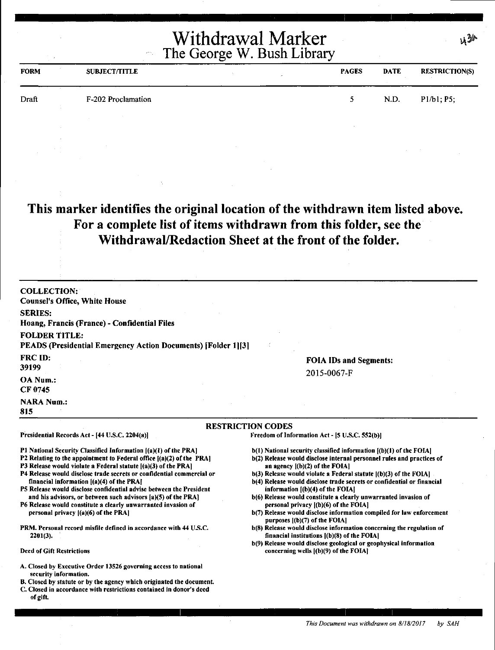| <b>FORM</b> | <b>SUBJECT/TITLE</b> |  | <b>PAGES</b> | <b>DATE</b> | <b>RESTRICTION(S)</b> |
|-------------|----------------------|--|--------------|-------------|-----------------------|
| Draft       | F-202 Proclamation   |  | ↖            | N.D.        | P1/b1; P5;            |
|             |                      |  |              |             |                       |

#### **This marker identifies the original location of the withdrawn item listed above. For a complete list of items withdrawn from this folder, see the Withdrawal/Redaction Sheet at the front of the folder.**

| <b>COLLECTION:</b><br><b>Counsel's Office, White House</b>                                                                                                                                                                                                                                                                                                                                                                                                                                                                                                                                                                                                                                                |                                                                                                                                                                                                                                                                                                                                                                                                                                                                                                                                                                                                                                                                                                                                                                                                                                               |  |  |
|-----------------------------------------------------------------------------------------------------------------------------------------------------------------------------------------------------------------------------------------------------------------------------------------------------------------------------------------------------------------------------------------------------------------------------------------------------------------------------------------------------------------------------------------------------------------------------------------------------------------------------------------------------------------------------------------------------------|-----------------------------------------------------------------------------------------------------------------------------------------------------------------------------------------------------------------------------------------------------------------------------------------------------------------------------------------------------------------------------------------------------------------------------------------------------------------------------------------------------------------------------------------------------------------------------------------------------------------------------------------------------------------------------------------------------------------------------------------------------------------------------------------------------------------------------------------------|--|--|
| <b>SERIES:</b><br>Hoang, Francis (France) - Confidential Files                                                                                                                                                                                                                                                                                                                                                                                                                                                                                                                                                                                                                                            |                                                                                                                                                                                                                                                                                                                                                                                                                                                                                                                                                                                                                                                                                                                                                                                                                                               |  |  |
| <b>FOLDER TITLE:</b><br>PEADS (Presidential Emergency Action Documents) [Folder 1][3]                                                                                                                                                                                                                                                                                                                                                                                                                                                                                                                                                                                                                     |                                                                                                                                                                                                                                                                                                                                                                                                                                                                                                                                                                                                                                                                                                                                                                                                                                               |  |  |
| FRC ID:<br>39199                                                                                                                                                                                                                                                                                                                                                                                                                                                                                                                                                                                                                                                                                          | <b>FOIA IDs and Segments:</b>                                                                                                                                                                                                                                                                                                                                                                                                                                                                                                                                                                                                                                                                                                                                                                                                                 |  |  |
| OA Num.:<br>CF 0745                                                                                                                                                                                                                                                                                                                                                                                                                                                                                                                                                                                                                                                                                       | 2015-0067-F                                                                                                                                                                                                                                                                                                                                                                                                                                                                                                                                                                                                                                                                                                                                                                                                                                   |  |  |
| <b>NARA Num.:</b><br>815                                                                                                                                                                                                                                                                                                                                                                                                                                                                                                                                                                                                                                                                                  |                                                                                                                                                                                                                                                                                                                                                                                                                                                                                                                                                                                                                                                                                                                                                                                                                                               |  |  |
|                                                                                                                                                                                                                                                                                                                                                                                                                                                                                                                                                                                                                                                                                                           | <b>RESTRICTION CODES</b>                                                                                                                                                                                                                                                                                                                                                                                                                                                                                                                                                                                                                                                                                                                                                                                                                      |  |  |
| Presidential Records Act - [44 U.S.C. 2204(a)]                                                                                                                                                                                                                                                                                                                                                                                                                                                                                                                                                                                                                                                            | Freedom of Information Act - [5 U.S.C. 552(b)]                                                                                                                                                                                                                                                                                                                                                                                                                                                                                                                                                                                                                                                                                                                                                                                                |  |  |
| P1 National Security Classified Information [(a)(1) of the PRA]<br>P2 Relating to the appointment to Federal office [(a)(2) of the PRA]<br>P3 Release would violate a Federal statute [(a)(3) of the PRA]<br>P4 Release would disclose trade secrets or confidential commercial or<br>financial information [(a)(4) of the PRA]<br>P5 Release would disclose confidential advise between the President<br>and his advisors, or between such advisors [a](5) of the PRA]<br>P6 Release would constitute a clearly unwarranted invasion of<br>personal privacy $[(a)(6)$ of the PRA<br>PRM. Personal record misfile defined in accordance with 44 U.S.C.<br>$2201(3)$ .<br><b>Deed of Gift Restrictions</b> | $b(1)$ National security classified information $[(b)(1)$ of the FOIA]<br>b(2) Release would disclose internal personnel rules and practices of<br>an agency $[(b)(2)$ of the FOIA]<br>$b(3)$ Release would violate a Federal statute $(6)(3)$ of the FOIA<br>b(4) Release would disclose trade secrets or confidential or financial<br>information $[(b)(4)$ of the FOIA]<br>b(6) Release would constitute a clearly unwarranted invasion of<br>personal privacy [(b)(6) of the FOIA]<br>b(7) Release would disclose information compiled for law enforcement<br>purposes $[(b)(7)$ of the FOIA]<br>b(8) Release would disclose information concerning the regulation of<br>financial institutions $[(b)(8)$ of the FOIA]<br>b(9) Release would disclose geological or geophysical information<br>concerning wells $[(b)(9)$ of the FOIA $]$ |  |  |
| A. Closed by Executive Order 13526 governing access to national                                                                                                                                                                                                                                                                                                                                                                                                                                                                                                                                                                                                                                           |                                                                                                                                                                                                                                                                                                                                                                                                                                                                                                                                                                                                                                                                                                                                                                                                                                               |  |  |
| security information.                                                                                                                                                                                                                                                                                                                                                                                                                                                                                                                                                                                                                                                                                     |                                                                                                                                                                                                                                                                                                                                                                                                                                                                                                                                                                                                                                                                                                                                                                                                                                               |  |  |
| B. Closed by statute or by the agency which originated the document.<br>C. Closed in accordance with restrictions contained in donor's deed                                                                                                                                                                                                                                                                                                                                                                                                                                                                                                                                                               |                                                                                                                                                                                                                                                                                                                                                                                                                                                                                                                                                                                                                                                                                                                                                                                                                                               |  |  |

of gift.

 $u^{3k}$